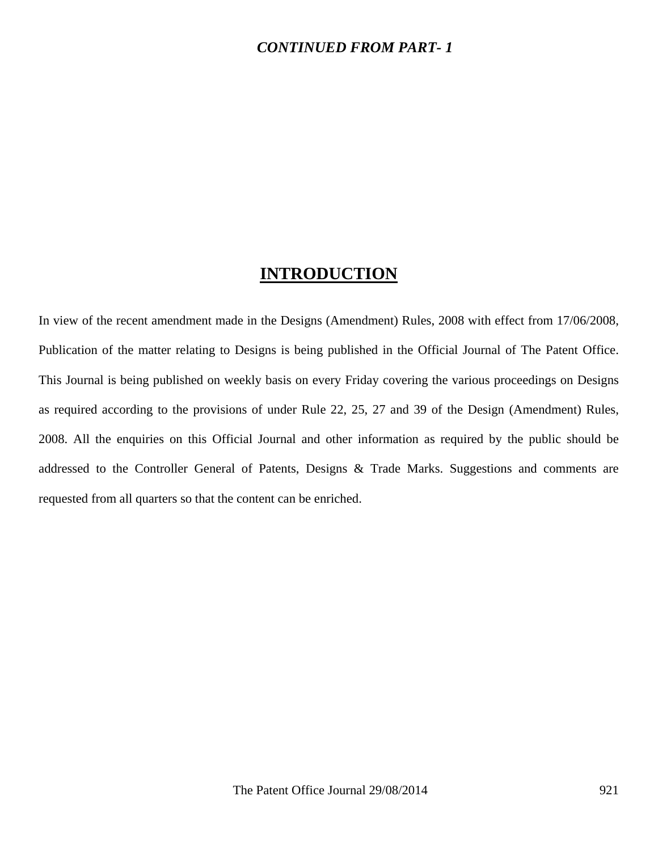## *CONTINUED FROM PART- 1*

## **INTRODUCTION**

In view of the recent amendment made in the Designs (Amendment) Rules, 2008 with effect from 17/06/2008, Publication of the matter relating to Designs is being published in the Official Journal of The Patent Office. This Journal is being published on weekly basis on every Friday covering the various proceedings on Designs as required according to the provisions of under Rule 22, 25, 27 and 39 of the Design (Amendment) Rules, 2008. All the enquiries on this Official Journal and other information as required by the public should be addressed to the Controller General of Patents, Designs & Trade Marks. Suggestions and comments are requested from all quarters so that the content can be enriched.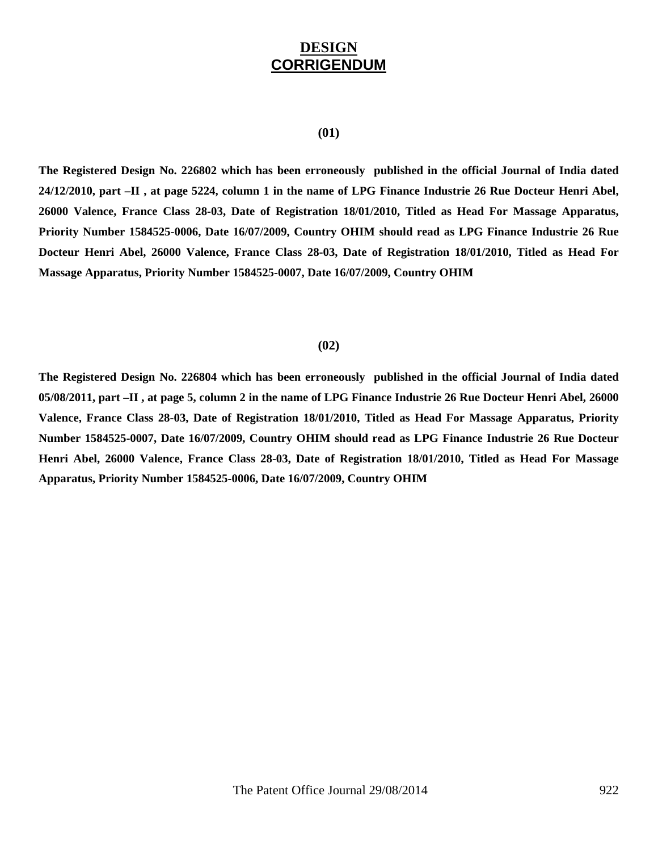## **DESIGN CORRIGENDUM**

#### **(01)**

**The Registered Design No. 226802 which has been erroneously published in the official Journal of India dated 24/12/2010, part –II , at page 5224, column 1 in the name of LPG Finance Industrie 26 Rue Docteur Henri Abel, 26000 Valence, France Class 28-03, Date of Registration 18/01/2010, Titled as Head For Massage Apparatus, Priority Number 1584525-0006, Date 16/07/2009, Country OHIM should read as LPG Finance Industrie 26 Rue Docteur Henri Abel, 26000 Valence, France Class 28-03, Date of Registration 18/01/2010, Titled as Head For Massage Apparatus, Priority Number 1584525-0007, Date 16/07/2009, Country OHIM** 

#### **(02)**

**The Registered Design No. 226804 which has been erroneously published in the official Journal of India dated 05/08/2011, part –II , at page 5, column 2 in the name of LPG Finance Industrie 26 Rue Docteur Henri Abel, 26000 Valence, France Class 28-03, Date of Registration 18/01/2010, Titled as Head For Massage Apparatus, Priority Number 1584525-0007, Date 16/07/2009, Country OHIM should read as LPG Finance Industrie 26 Rue Docteur Henri Abel, 26000 Valence, France Class 28-03, Date of Registration 18/01/2010, Titled as Head For Massage Apparatus, Priority Number 1584525-0006, Date 16/07/2009, Country OHIM**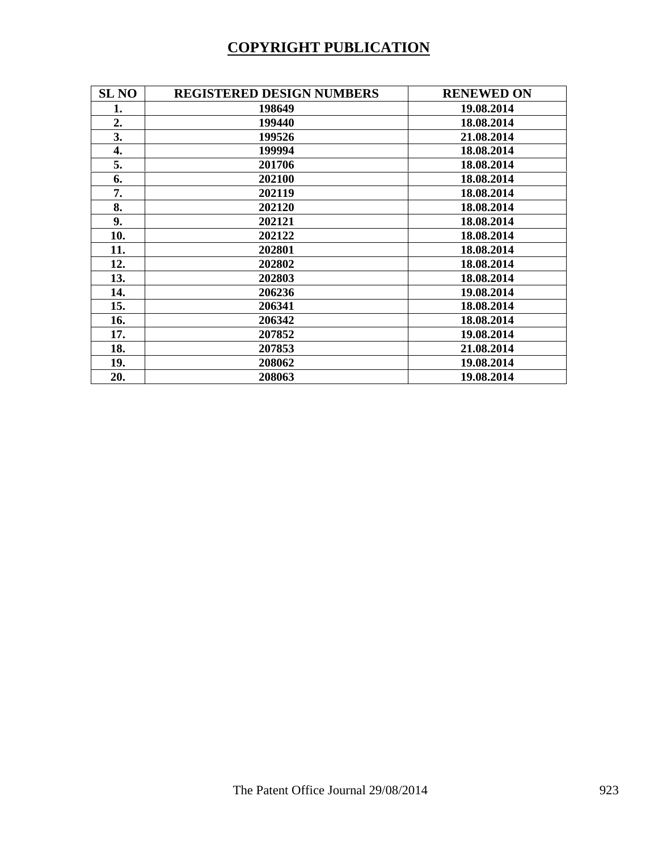# **COPYRIGHT PUBLICATION**

| <b>SL NO</b> | <b>REGISTERED DESIGN NUMBERS</b> | <b>RENEWED ON</b> |
|--------------|----------------------------------|-------------------|
| 1.           | 198649                           | 19.08.2014        |
| 2.           | 199440                           | 18.08.2014        |
| 3.           | 199526                           | 21.08.2014        |
| 4.           | 199994                           | 18.08.2014        |
| 5.           | 201706                           | 18.08.2014        |
| 6.           | 202100                           | 18.08.2014        |
| 7.           | 202119                           | 18.08.2014        |
| 8.           | 202120                           | 18.08.2014        |
| 9.           | 202121                           | 18.08.2014        |
| 10.          | 202122                           | 18.08.2014        |
| 11.          | 202801                           | 18.08.2014        |
| 12.          | 202802                           | 18.08.2014        |
| 13.          | 202803                           | 18.08.2014        |
| 14.          | 206236                           | 19.08.2014        |
| 15.          | 206341                           | 18.08.2014        |
| 16.          | 206342                           | 18.08.2014        |
| 17.          | 207852                           | 19.08.2014        |
| 18.          | 207853                           | 21.08.2014        |
| 19.          | 208062                           | 19.08.2014        |
| 20.          | 208063                           | 19.08.2014        |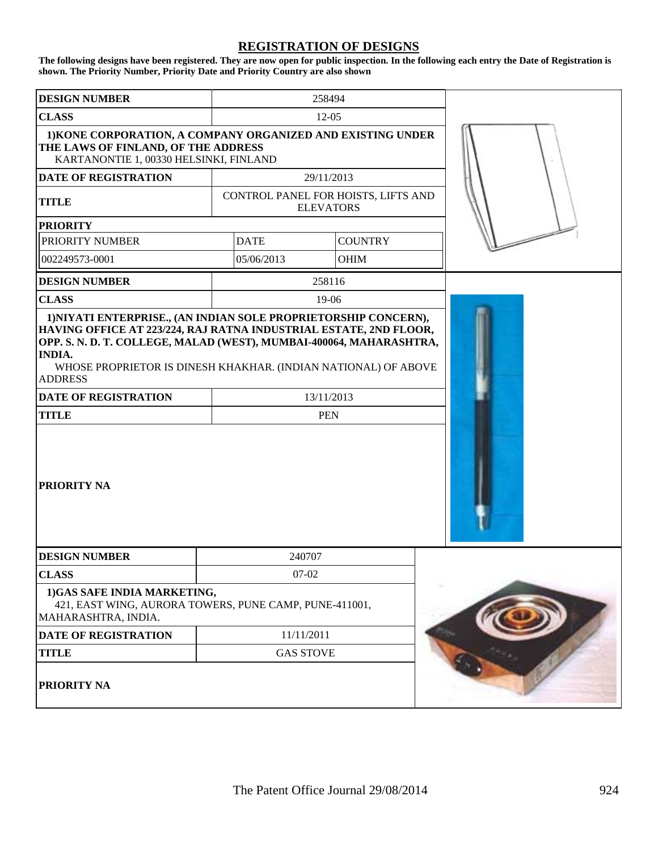### **REGISTRATION OF DESIGNS**

**The following designs have been registered. They are now open for public inspection. In the following each entry the Date of Registration is shown. The Priority Number, Priority Date and Priority Country are also shown**

| <b>DESIGN NUMBER</b>                                                                                                                                                                                    |                                     | 258494           |  |  |  |  |  |
|---------------------------------------------------------------------------------------------------------------------------------------------------------------------------------------------------------|-------------------------------------|------------------|--|--|--|--|--|
| <b>CLASS</b>                                                                                                                                                                                            | $12 - 05$                           |                  |  |  |  |  |  |
| 1) KONE CORPORATION, A COMPANY ORGANIZED AND EXISTING UNDER<br>THE LAWS OF FINLAND, OF THE ADDRESS<br>KARTANONTIE 1, 00330 HELSINKI, FINLAND                                                            |                                     |                  |  |  |  |  |  |
| <b>DATE OF REGISTRATION</b>                                                                                                                                                                             |                                     | 29/11/2013       |  |  |  |  |  |
| <b>TITLE</b>                                                                                                                                                                                            | CONTROL PANEL FOR HOISTS, LIFTS AND | <b>ELEVATORS</b> |  |  |  |  |  |
| <b>PRIORITY</b>                                                                                                                                                                                         |                                     |                  |  |  |  |  |  |
| PRIORITY NUMBER                                                                                                                                                                                         | <b>DATE</b>                         | <b>COUNTRY</b>   |  |  |  |  |  |
| 002249573-0001                                                                                                                                                                                          | 05/06/2013                          | <b>OHIM</b>      |  |  |  |  |  |
| <b>DESIGN NUMBER</b>                                                                                                                                                                                    |                                     | 258116           |  |  |  |  |  |
| <b>CLASS</b>                                                                                                                                                                                            |                                     | 19-06            |  |  |  |  |  |
| OPP. S. N. D. T. COLLEGE, MALAD (WEST), MUMBAI-400064, MAHARASHTRA,<br><b>INDIA.</b><br>WHOSE PROPRIETOR IS DINESH KHAKHAR. (INDIAN NATIONAL) OF ABOVE<br><b>ADDRESS</b><br><b>DATE OF REGISTRATION</b> |                                     | 13/11/2013       |  |  |  |  |  |
| <b>TITLE</b>                                                                                                                                                                                            |                                     | <b>PEN</b>       |  |  |  |  |  |
| <b>PRIORITY NA</b>                                                                                                                                                                                      |                                     |                  |  |  |  |  |  |
| <b>DESIGN NUMBER</b>                                                                                                                                                                                    | 240707                              |                  |  |  |  |  |  |
| <b>CLASS</b>                                                                                                                                                                                            | $07 - 02$                           |                  |  |  |  |  |  |
| 1)GAS SAFE INDIA MARKETING,<br>421, EAST WING, AURORA TOWERS, PUNE CAMP, PUNE-411001,<br>MAHARASHTRA, INDIA.                                                                                            |                                     |                  |  |  |  |  |  |
| <b>DATE OF REGISTRATION</b>                                                                                                                                                                             | 11/11/2011                          |                  |  |  |  |  |  |
| <b>TITLE</b>                                                                                                                                                                                            | <b>GAS STOVE</b>                    |                  |  |  |  |  |  |
| PRIORITY NA                                                                                                                                                                                             |                                     |                  |  |  |  |  |  |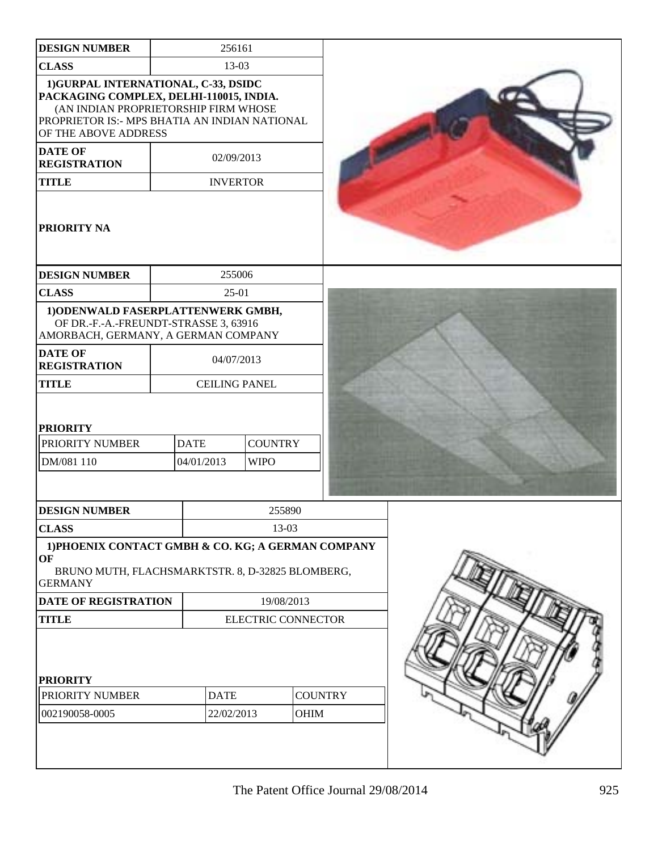| <b>DESIGN NUMBER</b>                                                                                                                                                                             |                           | 256161                        |            |             |                |  |
|--------------------------------------------------------------------------------------------------------------------------------------------------------------------------------------------------|---------------------------|-------------------------------|------------|-------------|----------------|--|
| <b>CLASS</b>                                                                                                                                                                                     |                           | 13-03                         |            |             |                |  |
| 1) GURPAL INTERNATIONAL, C-33, DSIDC<br>PACKAGING COMPLEX, DELHI-110015, INDIA.<br>(AN INDIAN PROPRIETORSHIP FIRM WHOSE<br>PROPRIETOR IS:- MPS BHATIA AN INDIAN NATIONAL<br>OF THE ABOVE ADDRESS |                           |                               |            |             |                |  |
| <b>DATE OF</b><br><b>REGISTRATION</b>                                                                                                                                                            |                           | 02/09/2013                    |            |             |                |  |
| <b>TITLE</b>                                                                                                                                                                                     |                           | <b>INVERTOR</b>               |            |             |                |  |
| <b>PRIORITY NA</b>                                                                                                                                                                               |                           |                               |            |             |                |  |
| <b>DESIGN NUMBER</b>                                                                                                                                                                             |                           | 255006                        |            |             |                |  |
| <b>CLASS</b>                                                                                                                                                                                     |                           | $25-01$                       |            |             |                |  |
| 1) ODENWALD FASERPLATTENWERK GMBH,<br>OF DR.-F.-A.-FREUNDT-STRASSE 3, 63916<br>AMORBACH, GERMANY, A GERMAN COMPANY                                                                               |                           |                               |            |             |                |  |
| <b>DATE OF</b><br><b>REGISTRATION</b>                                                                                                                                                            |                           |                               | 04/07/2013 |             |                |  |
| <b>TITLE</b>                                                                                                                                                                                     |                           | <b>CEILING PANEL</b>          |            |             |                |  |
| <b>PRIORITY</b><br>PRIORITY NUMBER<br>DM/081 110                                                                                                                                                 | <b>DATE</b><br>04/01/2013 | <b>COUNTRY</b><br><b>WIPO</b> |            |             |                |  |
| <b>DESIGN NUMBER</b>                                                                                                                                                                             |                           |                               |            | 255890      |                |  |
| <b>CLASS</b>                                                                                                                                                                                     |                           |                               |            | 13-03       |                |  |
| 1) PHOENIX CONTACT GMBH & CO. KG; A GERMAN COMPANY<br>OF<br>BRUNO MUTH, FLACHSMARKTSTR. 8, D-32825 BLOMBERG,<br><b>GERMANY</b>                                                                   |                           |                               |            |             |                |  |
| DATE OF REGISTRATION                                                                                                                                                                             |                           |                               |            | 19/08/2013  |                |  |
| <b>TITLE</b>                                                                                                                                                                                     |                           | <b>ELECTRIC CONNECTOR</b>     |            |             |                |  |
| <b>PRIORITY</b>                                                                                                                                                                                  |                           |                               |            |             |                |  |
| PRIORITY NUMBER                                                                                                                                                                                  |                           | <b>DATE</b>                   |            |             | <b>COUNTRY</b> |  |
| 002190058-0005                                                                                                                                                                                   |                           | 22/02/2013                    |            | <b>OHIM</b> |                |  |
|                                                                                                                                                                                                  |                           |                               |            |             |                |  |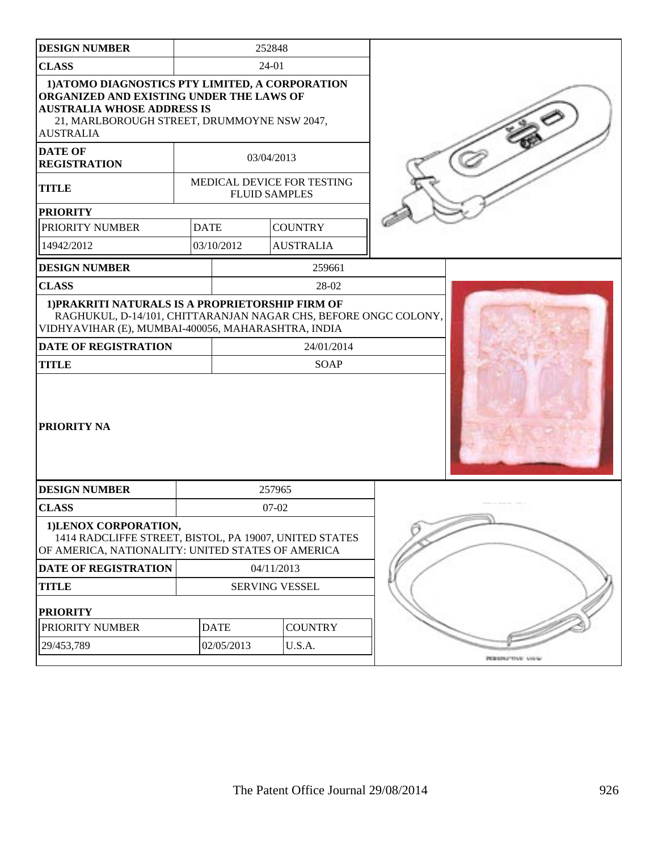| <b>DESIGN NUMBER</b>                                                                                                                                                                                                  |                       | 252848                        |            |                            |                  |
|-----------------------------------------------------------------------------------------------------------------------------------------------------------------------------------------------------------------------|-----------------------|-------------------------------|------------|----------------------------|------------------|
| <b>CLASS</b>                                                                                                                                                                                                          |                       |                               | 24-01      |                            |                  |
| 1) ATOMO DIAGNOSTICS PTY LIMITED, A CORPORATION<br>ORGANIZED AND EXISTING UNDER THE LAWS OF<br><b>AUSTRALIA WHOSE ADDRESS IS</b><br>21, MARLBOROUGH STREET, DRUMMOYNE NSW 2047,<br><b>AUSTRALIA</b><br><b>DATE OF</b> |                       |                               |            |                            |                  |
| <b>REGISTRATION</b>                                                                                                                                                                                                   |                       |                               | 03/04/2013 |                            |                  |
| <b>TITLE</b>                                                                                                                                                                                                          |                       | <b>FLUID SAMPLES</b>          |            | MEDICAL DEVICE FOR TESTING |                  |
| <b>PRIORITY</b>                                                                                                                                                                                                       |                       |                               |            |                            |                  |
| PRIORITY NUMBER                                                                                                                                                                                                       | <b>DATE</b>           |                               |            | <b>COUNTRY</b>             |                  |
| 14942/2012                                                                                                                                                                                                            |                       | 03/10/2012                    |            | <b>AUSTRALIA</b>           |                  |
| <b>DESIGN NUMBER</b>                                                                                                                                                                                                  |                       |                               |            | 259661                     |                  |
| <b>CLASS</b>                                                                                                                                                                                                          |                       |                               |            | 28-02                      |                  |
| 1) PRAKRITI NATURALS IS A PROPRIETORSHIP FIRM OF<br>RAGHUKUL, D-14/101, CHITTARANJAN NAGAR CHS, BEFORE ONGC COLONY,<br>VIDHYAVIHAR (E), MUMBAI-400056, MAHARASHTRA, INDIA<br><b>DATE OF REGISTRATION</b>              |                       |                               |            | 24/01/2014                 |                  |
| <b>TITLE</b>                                                                                                                                                                                                          |                       | SOAP                          |            |                            |                  |
| PRIORITY NA                                                                                                                                                                                                           |                       |                               |            |                            |                  |
| <b>DESIGN NUMBER</b>                                                                                                                                                                                                  |                       |                               | 257965     |                            |                  |
| <b>CLASS</b>                                                                                                                                                                                                          |                       |                               | $07-02$    |                            |                  |
| 1)LENOX CORPORATION,<br>1414 RADCLIFFE STREET, BISTOL, PA 19007, UNITED STATES<br>OF AMERICA, NATIONALITY: UNITED STATES OF AMERICA                                                                                   |                       |                               |            |                            |                  |
| <b>DATE OF REGISTRATION</b>                                                                                                                                                                                           | 04/11/2013            |                               |            |                            |                  |
| <b>TITLE</b>                                                                                                                                                                                                          | <b>SERVING VESSEL</b> |                               |            |                            |                  |
| <b>PRIORITY</b>                                                                                                                                                                                                       |                       |                               |            |                            |                  |
| PRIORITY NUMBER                                                                                                                                                                                                       |                       | <b>COUNTRY</b><br><b>DATE</b> |            |                            |                  |
| 29/453,789                                                                                                                                                                                                            | U.S.A.<br>02/05/2013  |                               |            |                            |                  |
|                                                                                                                                                                                                                       |                       |                               |            |                            | PERMITTIVE VIOLE |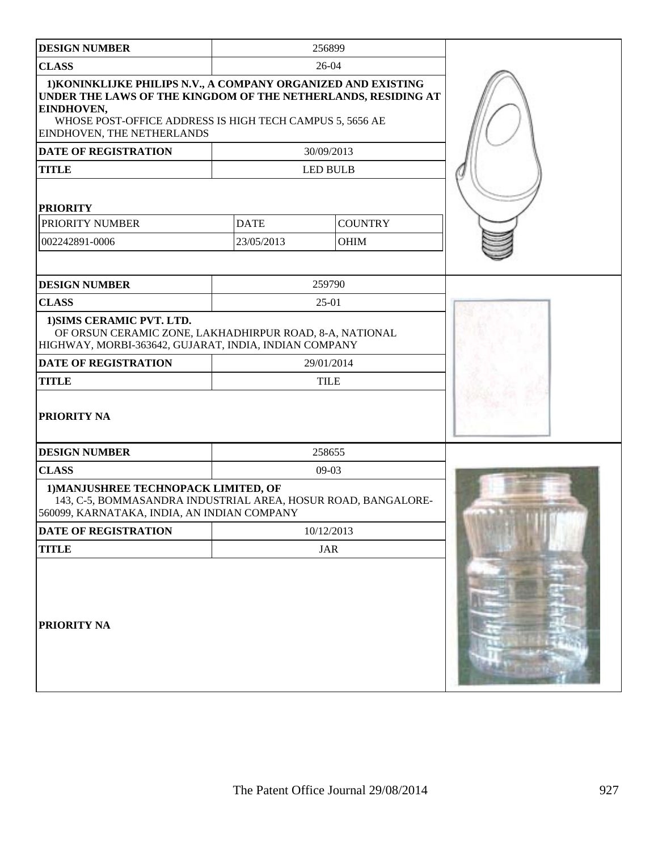| <b>DESIGN NUMBER</b>                                                                                                                                                                                                                   |             | 256899          |  |
|----------------------------------------------------------------------------------------------------------------------------------------------------------------------------------------------------------------------------------------|-------------|-----------------|--|
| <b>CLASS</b>                                                                                                                                                                                                                           |             | 26-04           |  |
| 1) KONINKLIJKE PHILIPS N.V., A COMPANY ORGANIZED AND EXISTING<br>UNDER THE LAWS OF THE KINGDOM OF THE NETHERLANDS, RESIDING AT<br>EINDHOVEN,<br>WHOSE POST-OFFICE ADDRESS IS HIGH TECH CAMPUS 5, 5656 AE<br>EINDHOVEN, THE NETHERLANDS |             |                 |  |
| <b>DATE OF REGISTRATION</b>                                                                                                                                                                                                            |             | 30/09/2013      |  |
| <b>TITLE</b>                                                                                                                                                                                                                           |             | <b>LED BULB</b> |  |
| <b>PRIORITY</b>                                                                                                                                                                                                                        |             |                 |  |
| PRIORITY NUMBER                                                                                                                                                                                                                        | <b>DATE</b> | <b>COUNTRY</b>  |  |
| 002242891-0006                                                                                                                                                                                                                         | 23/05/2013  | OHIM            |  |
|                                                                                                                                                                                                                                        |             |                 |  |
| <b>DESIGN NUMBER</b>                                                                                                                                                                                                                   |             | 259790          |  |
| <b>CLASS</b>                                                                                                                                                                                                                           |             | $25-01$         |  |
| 1) SIMS CERAMIC PVT. LTD.<br>OF ORSUN CERAMIC ZONE, LAKHADHIRPUR ROAD, 8-A, NATIONAL<br>HIGHWAY, MORBI-363642, GUJARAT, INDIA, INDIAN COMPANY                                                                                          |             |                 |  |
| <b>DATE OF REGISTRATION</b>                                                                                                                                                                                                            |             | 29/01/2014      |  |
| <b>TITLE</b>                                                                                                                                                                                                                           |             | <b>TILE</b>     |  |
| PRIORITY NA                                                                                                                                                                                                                            |             |                 |  |
| <b>DESIGN NUMBER</b>                                                                                                                                                                                                                   |             | 258655          |  |
| <b>CLASS</b>                                                                                                                                                                                                                           |             | $09-03$         |  |
| 1) MANJUSHREE TECHNOPACK LIMITED, OF<br>143, C-5, BOMMASANDRA INDUSTRIAL AREA, HOSUR ROAD, BANGALORE-<br>560099, KARNATAKA, INDIA, AN INDIAN COMPANY                                                                                   |             |                 |  |
| <b>DATE OF REGISTRATION</b>                                                                                                                                                                                                            |             | 10/12/2013      |  |
| <b>TITLE</b>                                                                                                                                                                                                                           |             | <b>JAR</b>      |  |
| PRIORITY NA                                                                                                                                                                                                                            |             |                 |  |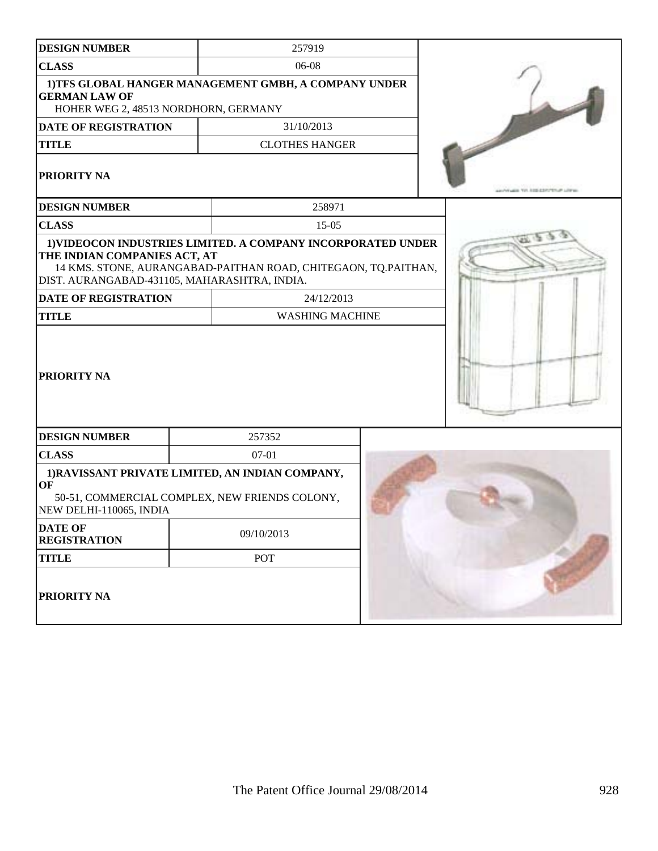| <b>DESIGN NUMBER</b>                                                         | 257919 |                                                                                                                                |                                   |
|------------------------------------------------------------------------------|--------|--------------------------------------------------------------------------------------------------------------------------------|-----------------------------------|
| <b>CLASS</b>                                                                 |        | 06-08                                                                                                                          |                                   |
| <b>GERMAN LAW OF</b><br>HOHER WEG 2, 48513 NORDHORN, GERMANY                 |        | 1) TFS GLOBAL HANGER MANAGEMENT GMBH, A COMPANY UNDER                                                                          |                                   |
| <b>DATE OF REGISTRATION</b>                                                  |        | 31/10/2013                                                                                                                     |                                   |
| <b>TITLE</b>                                                                 |        | <b>CLOTHES HANGER</b>                                                                                                          |                                   |
| <b>PRIORITY NA</b>                                                           |        |                                                                                                                                | ALCOHOL: TV1-3100-037/757-01-1/00 |
| <b>DESIGN NUMBER</b>                                                         |        | 258971                                                                                                                         |                                   |
| <b>CLASS</b>                                                                 |        | $15-05$                                                                                                                        |                                   |
| THE INDIAN COMPANIES ACT, AT<br>DIST. AURANGABAD-431105, MAHARASHTRA, INDIA. |        | 1) VIDEOCON INDUSTRIES LIMITED. A COMPANY INCORPORATED UNDER<br>14 KMS. STONE, AURANGABAD-PAITHAN ROAD, CHITEGAON, TQ.PAITHAN, |                                   |
| <b>DATE OF REGISTRATION</b>                                                  |        | 24/12/2013                                                                                                                     |                                   |
| <b>TITLE</b>                                                                 |        | <b>WASHING MACHINE</b>                                                                                                         |                                   |
| <b>PRIORITY NA</b>                                                           |        |                                                                                                                                |                                   |
| <b>DESIGN NUMBER</b>                                                         |        | 257352                                                                                                                         |                                   |
| <b>CLASS</b>                                                                 |        | $07-01$                                                                                                                        |                                   |
| OF<br>NEW DELHI-110065, INDIA                                                |        | 1) RAVISSANT PRIVATE LIMITED, AN INDIAN COMPANY,<br>50-51, COMMERCIAL COMPLEX, NEW FRIENDS COLONY,                             |                                   |
| <b>DATE OF</b><br><b>REGISTRATION</b>                                        |        | 09/10/2013                                                                                                                     |                                   |
| <b>TITLE</b>                                                                 |        | POT                                                                                                                            |                                   |
| <b>PRIORITY NA</b>                                                           |        |                                                                                                                                |                                   |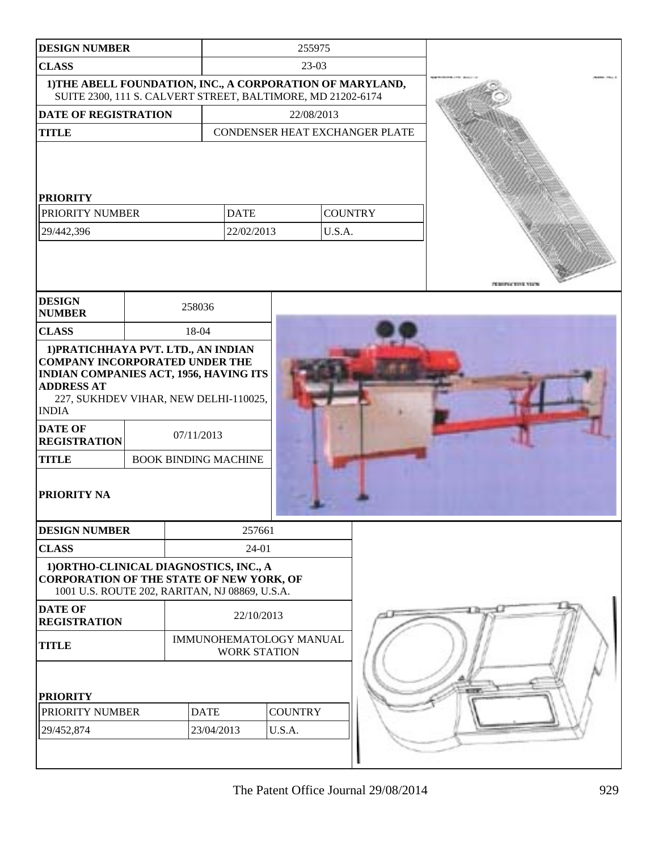| <b>DESIGN NUMBER</b>                                                                                                                                                                                |  |                                           |                                                | 255975                         |                |                  |
|-----------------------------------------------------------------------------------------------------------------------------------------------------------------------------------------------------|--|-------------------------------------------|------------------------------------------------|--------------------------------|----------------|------------------|
| <b>CLASS</b>                                                                                                                                                                                        |  |                                           | $23-03$                                        |                                |                |                  |
| 1) THE ABELL FOUNDATION, INC., A CORPORATION OF MARYLAND,<br>SUITE 2300, 111 S. CALVERT STREET, BALTIMORE, MD 21202-6174                                                                            |  |                                           |                                                |                                |                |                  |
| <b>DATE OF REGISTRATION</b>                                                                                                                                                                         |  |                                           | 22/08/2013                                     |                                |                |                  |
| <b>TITLE</b>                                                                                                                                                                                        |  |                                           |                                                | CONDENSER HEAT EXCHANGER PLATE |                |                  |
| <b>PRIORITY</b>                                                                                                                                                                                     |  |                                           |                                                |                                |                |                  |
| PRIORITY NUMBER                                                                                                                                                                                     |  |                                           | <b>DATE</b>                                    |                                | <b>COUNTRY</b> |                  |
| 29/442,396                                                                                                                                                                                          |  |                                           | 22/02/2013                                     | U.S.A.                         |                |                  |
| <b>DESIGN</b>                                                                                                                                                                                       |  | 258036                                    |                                                |                                |                | PERSPECTIVE VIEW |
| <b>NUMBER</b>                                                                                                                                                                                       |  |                                           |                                                |                                |                |                  |
| <b>CLASS</b><br>1) PRATICHHAYA PVT. LTD., AN INDIAN                                                                                                                                                 |  | 18-04                                     |                                                |                                |                |                  |
| <b>INDIAN COMPANIES ACT, 1956, HAVING ITS</b><br><b>ADDRESS AT</b><br>227, SUKHDEV VIHAR, NEW DELHI-110025,<br><b>INDIA</b><br><b>DATE OF</b><br><b>REGISTRATION</b><br><b>TITLE</b><br>PRIORITY NA |  | 07/11/2013<br><b>BOOK BINDING MACHINE</b> |                                                |                                |                |                  |
|                                                                                                                                                                                                     |  |                                           |                                                |                                |                |                  |
| <b>DESIGN NUMBER</b>                                                                                                                                                                                |  |                                           | 257661                                         |                                |                |                  |
| <b>CLASS</b>                                                                                                                                                                                        |  |                                           | 24-01                                          |                                |                |                  |
| 1) ORTHO-CLINICAL DIAGNOSTICS, INC., A<br><b>CORPORATION OF THE STATE OF NEW YORK, OF</b><br>1001 U.S. ROUTE 202, RARITAN, NJ 08869, U.S.A.                                                         |  |                                           |                                                |                                |                |                  |
| <b>DATE OF</b><br><b>REGISTRATION</b>                                                                                                                                                               |  | 22/10/2013                                |                                                |                                |                |                  |
| <b>TITLE</b>                                                                                                                                                                                        |  |                                           | IMMUNOHEMATOLOGY MANUAL<br><b>WORK STATION</b> |                                |                |                  |
| <b>PRIORITY</b>                                                                                                                                                                                     |  |                                           |                                                |                                |                |                  |
| PRIORITY NUMBER                                                                                                                                                                                     |  | <b>DATE</b>                               |                                                | <b>COUNTRY</b>                 |                |                  |
| 29/452,874                                                                                                                                                                                          |  | 23/04/2013                                |                                                | U.S.A.                         |                |                  |
|                                                                                                                                                                                                     |  |                                           |                                                |                                |                |                  |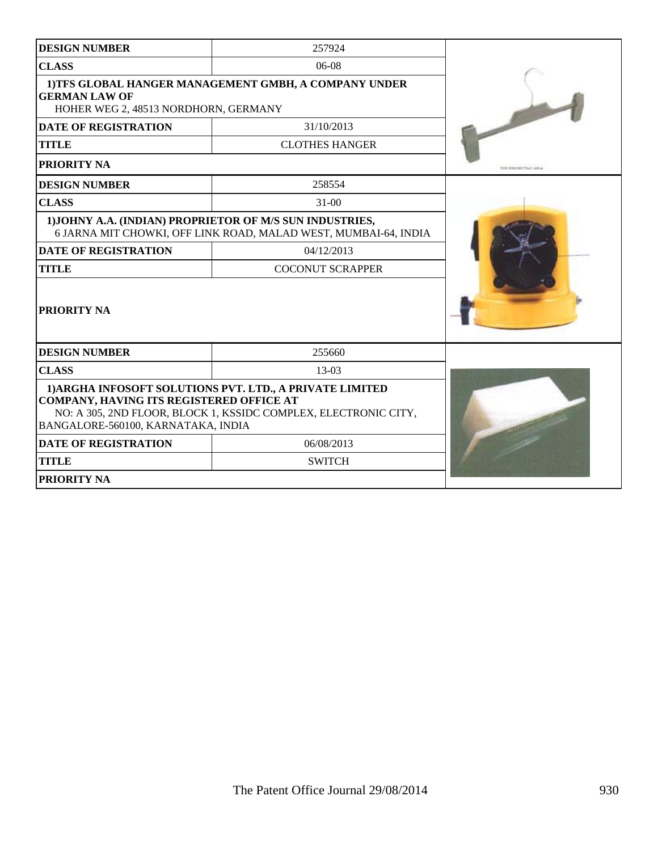| <b>DESIGN NUMBER</b>                                                                                                                                                                                          | 257924                                                          |                      |  |  |  |  |
|---------------------------------------------------------------------------------------------------------------------------------------------------------------------------------------------------------------|-----------------------------------------------------------------|----------------------|--|--|--|--|
| <b>CLASS</b>                                                                                                                                                                                                  | $06-08$                                                         |                      |  |  |  |  |
| 1)TFS GLOBAL HANGER MANAGEMENT GMBH, A COMPANY UNDER<br><b>GERMAN LAW OF</b><br>HOHER WEG 2, 48513 NORDHORN, GERMANY                                                                                          |                                                                 |                      |  |  |  |  |
| <b>DATE OF REGISTRATION</b>                                                                                                                                                                                   | 31/10/2013                                                      |                      |  |  |  |  |
| <b>TITLE</b>                                                                                                                                                                                                  | <b>CLOTHES HANGER</b>                                           |                      |  |  |  |  |
| <b>PRIORITY NA</b>                                                                                                                                                                                            |                                                                 | THE DESIGN TENN MET. |  |  |  |  |
| <b>DESIGN NUMBER</b>                                                                                                                                                                                          | 258554                                                          |                      |  |  |  |  |
| <b>CLASS</b>                                                                                                                                                                                                  | $31-00$                                                         |                      |  |  |  |  |
| 1) JOHNY A.A. (INDIAN) PROPRIETOR OF M/S SUN INDUSTRIES,                                                                                                                                                      | 6 JARNA MIT CHOWKI, OFF LINK ROAD, MALAD WEST, MUMBAI-64, INDIA |                      |  |  |  |  |
| <b>DATE OF REGISTRATION</b>                                                                                                                                                                                   | 04/12/2013                                                      |                      |  |  |  |  |
| <b>TITLE</b>                                                                                                                                                                                                  |                                                                 |                      |  |  |  |  |
| <b>PRIORITY NA</b>                                                                                                                                                                                            |                                                                 |                      |  |  |  |  |
| <b>DESIGN NUMBER</b>                                                                                                                                                                                          | 255660                                                          |                      |  |  |  |  |
| <b>CLASS</b>                                                                                                                                                                                                  | 13-03                                                           |                      |  |  |  |  |
| 1) ARGHA INFOSOFT SOLUTIONS PVT. LTD., A PRIVATE LIMITED<br>COMPANY, HAVING ITS REGISTERED OFFICE AT<br>NO: A 305, 2ND FLOOR, BLOCK 1, KSSIDC COMPLEX, ELECTRONIC CITY,<br>BANGALORE-560100, KARNATAKA, INDIA |                                                                 |                      |  |  |  |  |
| <b>DATE OF REGISTRATION</b>                                                                                                                                                                                   |                                                                 |                      |  |  |  |  |
| <b>TITLE</b>                                                                                                                                                                                                  | <b>SWITCH</b>                                                   |                      |  |  |  |  |
| <b>PRIORITY NA</b>                                                                                                                                                                                            |                                                                 |                      |  |  |  |  |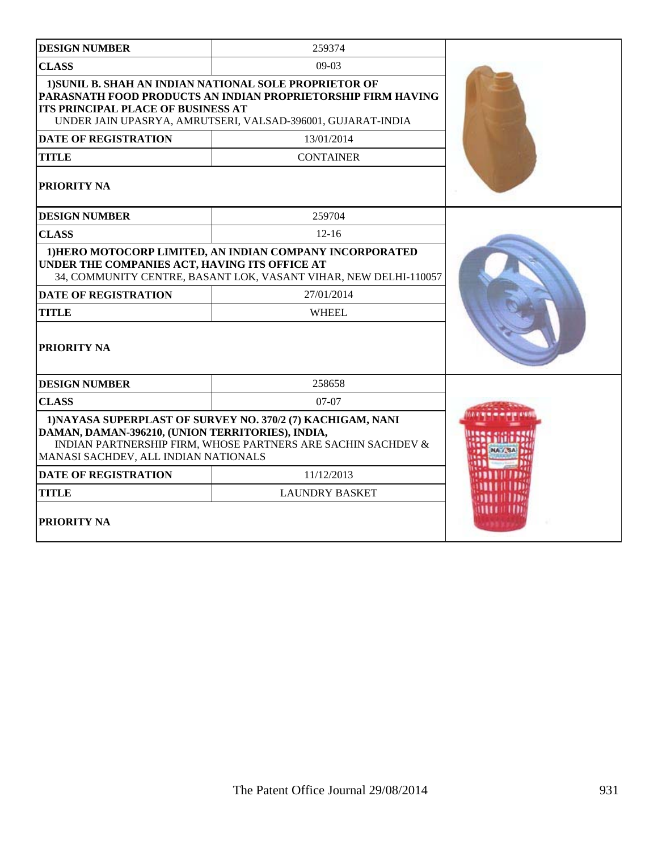| <b>DESIGN NUMBER</b>                                                                                                                                                                                                               | 259374                |  |
|------------------------------------------------------------------------------------------------------------------------------------------------------------------------------------------------------------------------------------|-----------------------|--|
| <b>CLASS</b>                                                                                                                                                                                                                       | $09-03$               |  |
| 1) SUNIL B. SHAH AN INDIAN NATIONAL SOLE PROPRIETOR OF<br>PARASNATH FOOD PRODUCTS AN INDIAN PROPRIETORSHIP FIRM HAVING<br><b>ITS PRINCIPAL PLACE OF BUSINESS AT</b><br>UNDER JAIN UPASRYA, AMRUTSERI, VALSAD-396001, GUJARAT-INDIA |                       |  |
| <b>DATE OF REGISTRATION</b>                                                                                                                                                                                                        | 13/01/2014            |  |
| <b>TITLE</b>                                                                                                                                                                                                                       | <b>CONTAINER</b>      |  |
| <b>PRIORITY NA</b>                                                                                                                                                                                                                 |                       |  |
| <b>DESIGN NUMBER</b>                                                                                                                                                                                                               | 259704                |  |
| <b>CLASS</b>                                                                                                                                                                                                                       | $12 - 16$             |  |
| 1) HERO MOTOCORP LIMITED, AN INDIAN COMPANY INCORPORATED<br>UNDER THE COMPANIES ACT, HAVING ITS OFFICE AT<br>34, COMMUNITY CENTRE, BASANT LOK, VASANT VIHAR, NEW DELHI-110057                                                      |                       |  |
| <b>DATE OF REGISTRATION</b>                                                                                                                                                                                                        | 27/01/2014            |  |
| TITLE                                                                                                                                                                                                                              | <b>WHEEL</b>          |  |
| PRIORITY NA                                                                                                                                                                                                                        |                       |  |
| <b>DESIGN NUMBER</b>                                                                                                                                                                                                               | 258658                |  |
| <b>CLASS</b>                                                                                                                                                                                                                       | $07-07$               |  |
| 1) NAYASA SUPERPLAST OF SURVEY NO. 370/2 (7) KACHIGAM, NANI<br>DAMAN, DAMAN-396210, (UNION TERRITORIES), INDIA,<br>INDIAN PARTNERSHIP FIRM, WHOSE PARTNERS ARE SACHIN SACHDEV &<br>MANASI SACHDEV, ALL INDIAN NATIONALS            |                       |  |
| <b>DATE OF REGISTRATION</b>                                                                                                                                                                                                        |                       |  |
| <b>TITLE</b>                                                                                                                                                                                                                       | <b>LAUNDRY BASKET</b> |  |
| <b>PRIORITY NA</b>                                                                                                                                                                                                                 |                       |  |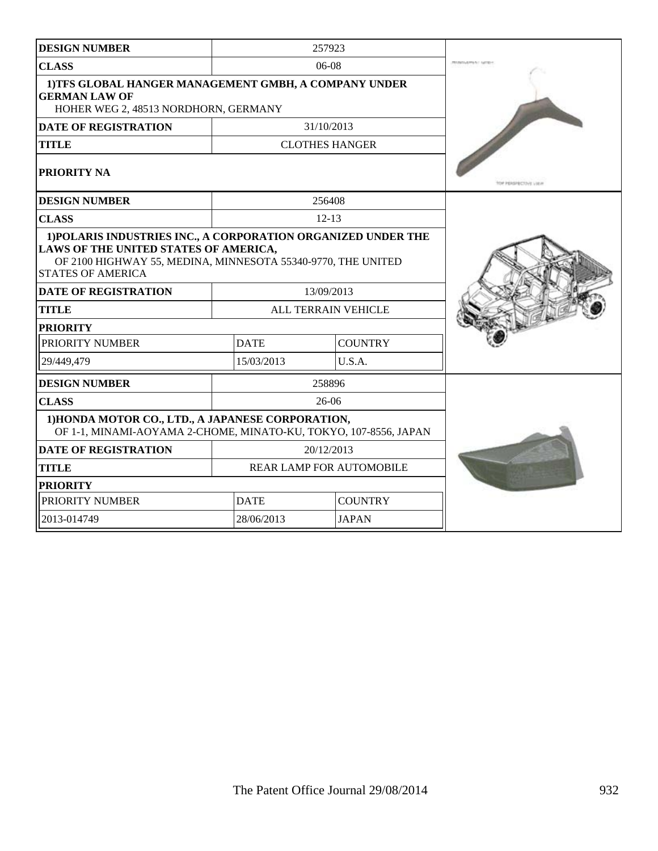| <b>DESIGN NUMBER</b>                                                                                                                                                                               |             | 257923                          |                        |
|----------------------------------------------------------------------------------------------------------------------------------------------------------------------------------------------------|-------------|---------------------------------|------------------------|
| <b>CLASS</b>                                                                                                                                                                                       |             | $06-08$                         | <b>PERMITASTRATION</b> |
| 1)TFS GLOBAL HANGER MANAGEMENT GMBH, A COMPANY UNDER<br><b>GERMAN LAW OF</b><br>HOHER WEG 2, 48513 NORDHORN, GERMANY                                                                               |             |                                 |                        |
| <b>DATE OF REGISTRATION</b>                                                                                                                                                                        |             | 31/10/2013                      |                        |
| <b>TITLE</b>                                                                                                                                                                                       |             | <b>CLOTHES HANGER</b>           |                        |
| PRIORITY NA                                                                                                                                                                                        |             |                                 | TOP PERSPECTIVE LIKE   |
| <b>DESIGN NUMBER</b>                                                                                                                                                                               |             | 256408                          |                        |
| <b>CLASS</b>                                                                                                                                                                                       |             | $12 - 13$                       |                        |
| 1) POLARIS INDUSTRIES INC., A CORPORATION ORGANIZED UNDER THE<br>LAWS OF THE UNITED STATES OF AMERICA,<br>OF 2100 HIGHWAY 55, MEDINA, MINNESOTA 55340-9770, THE UNITED<br><b>STATES OF AMERICA</b> |             |                                 |                        |
| <b>DATE OF REGISTRATION</b>                                                                                                                                                                        |             | 13/09/2013                      |                        |
| <b>TITLE</b>                                                                                                                                                                                       |             | ALL TERRAIN VEHICLE             |                        |
| <b>PRIORITY</b>                                                                                                                                                                                    |             |                                 |                        |
| PRIORITY NUMBER                                                                                                                                                                                    | <b>DATE</b> | <b>COUNTRY</b>                  |                        |
| 29/449,479                                                                                                                                                                                         | 15/03/2013  | U.S.A.                          |                        |
| <b>DESIGN NUMBER</b>                                                                                                                                                                               |             | 258896                          |                        |
| <b>CLASS</b>                                                                                                                                                                                       |             | $26 - 06$                       |                        |
| 1) HONDA MOTOR CO., LTD., A JAPANESE CORPORATION,<br>OF 1-1, MINAMI-AOYAMA 2-CHOME, MINATO-KU, TOKYO, 107-8556, JAPAN                                                                              |             |                                 |                        |
| <b>DATE OF REGISTRATION</b>                                                                                                                                                                        |             | 20/12/2013                      |                        |
| <b>TITLE</b>                                                                                                                                                                                       |             | <b>REAR LAMP FOR AUTOMOBILE</b> |                        |
| <b>PRIORITY</b>                                                                                                                                                                                    |             |                                 |                        |
| PRIORITY NUMBER                                                                                                                                                                                    | <b>DATE</b> | <b>COUNTRY</b>                  |                        |
| 2013-014749                                                                                                                                                                                        | 28/06/2013  | <b>JAPAN</b>                    |                        |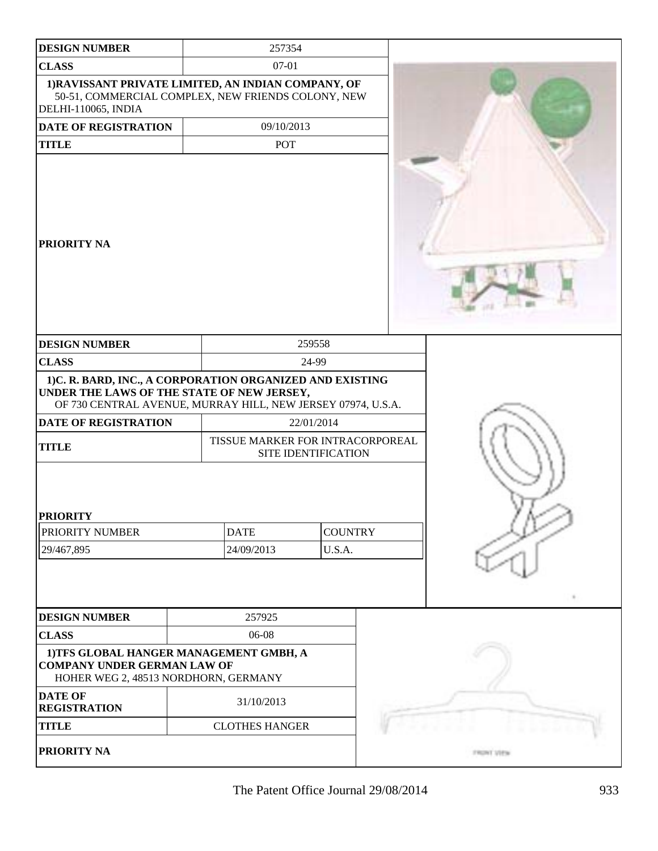| <b>DESIGN NUMBER</b>                                                                                                                                                   |  | 257354                                                  |                |  |                       |
|------------------------------------------------------------------------------------------------------------------------------------------------------------------------|--|---------------------------------------------------------|----------------|--|-----------------------|
| <b>CLASS</b>                                                                                                                                                           |  | 07-01                                                   |                |  |                       |
| 1) RAVISSANT PRIVATE LIMITED, AN INDIAN COMPANY, OF<br>50-51, COMMERCIAL COMPLEX, NEW FRIENDS COLONY, NEW<br>DELHI-110065, INDIA                                       |  |                                                         |                |  |                       |
| DATE OF REGISTRATION                                                                                                                                                   |  | 09/10/2013                                              |                |  |                       |
| <b>TITLE</b>                                                                                                                                                           |  | <b>POT</b>                                              |                |  |                       |
| PRIORITY NA                                                                                                                                                            |  |                                                         |                |  |                       |
| <b>DESIGN NUMBER</b>                                                                                                                                                   |  |                                                         | 259558         |  |                       |
| <b>CLASS</b>                                                                                                                                                           |  |                                                         | 24-99          |  |                       |
| 1)C. R. BARD, INC., A CORPORATION ORGANIZED AND EXISTING<br>UNDER THE LAWS OF THE STATE OF NEW JERSEY,<br>OF 730 CENTRAL AVENUE, MURRAY HILL, NEW JERSEY 07974, U.S.A. |  |                                                         |                |  |                       |
| DATE OF REGISTRATION                                                                                                                                                   |  |                                                         | 22/01/2014     |  |                       |
| <b>TITLE</b>                                                                                                                                                           |  | TISSUE MARKER FOR INTRACORPOREAL<br>SITE IDENTIFICATION |                |  |                       |
| <b>PRIORITY</b><br>PRIORITY NUMBER                                                                                                                                     |  | <b>DATE</b>                                             | <b>COUNTRY</b> |  |                       |
| 29/467,895                                                                                                                                                             |  | 24/09/2013<br>U.S.A.                                    |                |  |                       |
|                                                                                                                                                                        |  |                                                         |                |  |                       |
| <b>DESIGN NUMBER</b>                                                                                                                                                   |  | 257925                                                  |                |  |                       |
| <b>CLASS</b>                                                                                                                                                           |  | 06-08                                                   |                |  |                       |
| 1)TFS GLOBAL HANGER MANAGEMENT GMBH, A<br><b>COMPANY UNDER GERMAN LAW OF</b><br>HOHER WEG 2, 48513 NORDHORN, GERMANY                                                   |  |                                                         |                |  |                       |
| <b>DATE OF</b><br><b>REGISTRATION</b>                                                                                                                                  |  | 31/10/2013                                              |                |  |                       |
| <b>TITLE</b>                                                                                                                                                           |  | <b>CLOTHES HANGER</b>                                   |                |  |                       |
| PRIORITY NA                                                                                                                                                            |  |                                                         |                |  | <b>Church William</b> |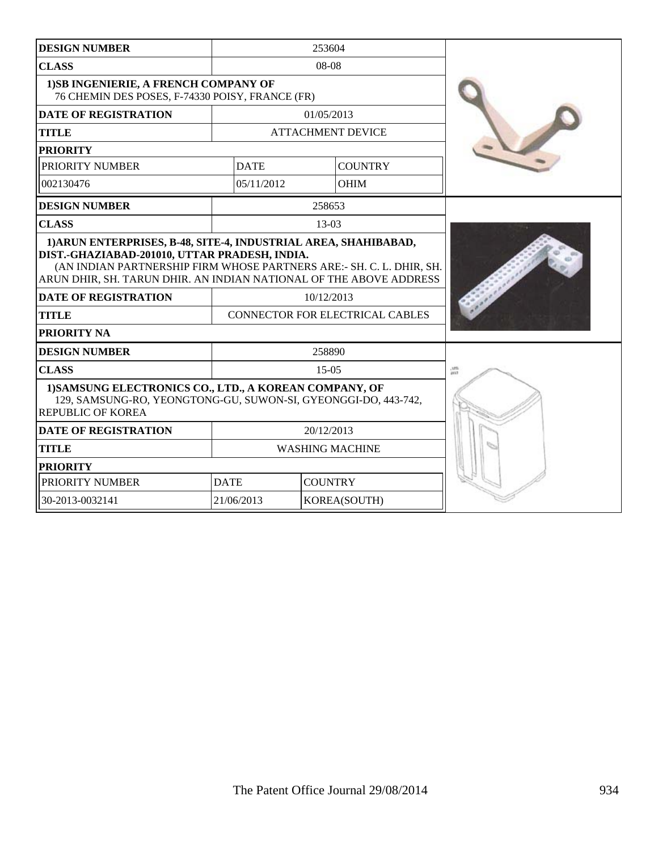| <b>DESIGN NUMBER</b>                                                                                                                                                                        |                               | 253604                          |                  |
|---------------------------------------------------------------------------------------------------------------------------------------------------------------------------------------------|-------------------------------|---------------------------------|------------------|
| <b>CLASS</b>                                                                                                                                                                                |                               | 08-08                           |                  |
| 1) SB INGENIERIE, A FRENCH COMPANY OF<br>76 CHEMIN DES POSES, F-74330 POISY, FRANCE (FR)                                                                                                    |                               |                                 |                  |
| <b>DATE OF REGISTRATION</b>                                                                                                                                                                 |                               | 01/05/2013                      |                  |
| <b>TITLE</b>                                                                                                                                                                                |                               | <b>ATTACHMENT DEVICE</b>        |                  |
| <b>PRIORITY</b>                                                                                                                                                                             |                               |                                 |                  |
| PRIORITY NUMBER                                                                                                                                                                             | <b>DATE</b>                   | <b>COUNTRY</b>                  |                  |
| 002130476                                                                                                                                                                                   | 05/11/2012                    | <b>OHIM</b>                     |                  |
| <b>DESIGN NUMBER</b>                                                                                                                                                                        |                               | 258653                          |                  |
| <b>CLASS</b>                                                                                                                                                                                |                               | $13-03$                         |                  |
| DIST.-GHAZIABAD-201010, UTTAR PRADESH, INDIA.<br>(AN INDIAN PARTNERSHIP FIRM WHOSE PARTNERS ARE:- SH. C. L. DHIR, SH.<br>ARUN DHIR, SH. TARUN DHIR. AN INDIAN NATIONAL OF THE ABOVE ADDRESS |                               |                                 |                  |
| <b>DATE OF REGISTRATION</b>                                                                                                                                                                 |                               | 10/12/2013                      |                  |
| <b>TITLE</b>                                                                                                                                                                                |                               | CONNECTOR FOR ELECTRICAL CABLES |                  |
| <b>PRIORITY NA</b>                                                                                                                                                                          |                               |                                 |                  |
| <b>DESIGN NUMBER</b>                                                                                                                                                                        |                               | 258890                          |                  |
| <b>CLASS</b>                                                                                                                                                                                |                               | $15-05$                         | $rac{175}{2713}$ |
| 1) SAMSUNG ELECTRONICS CO., LTD., A KOREAN COMPANY, OF<br>129, SAMSUNG-RO, YEONGTONG-GU, SUWON-SI, GYEONGGI-DO, 443-742,<br><b>REPUBLIC OF KOREA</b>                                        |                               |                                 |                  |
| <b>DATE OF REGISTRATION</b>                                                                                                                                                                 |                               | 20/12/2013                      |                  |
| <b>TITLE</b>                                                                                                                                                                                |                               | <b>WASHING MACHINE</b>          |                  |
| <b>PRIORITY</b>                                                                                                                                                                             |                               |                                 |                  |
| PRIORITY NUMBER                                                                                                                                                                             | <b>DATE</b><br><b>COUNTRY</b> |                                 |                  |
| 30-2013-0032141                                                                                                                                                                             | 21/06/2013                    | KOREA(SOUTH)                    |                  |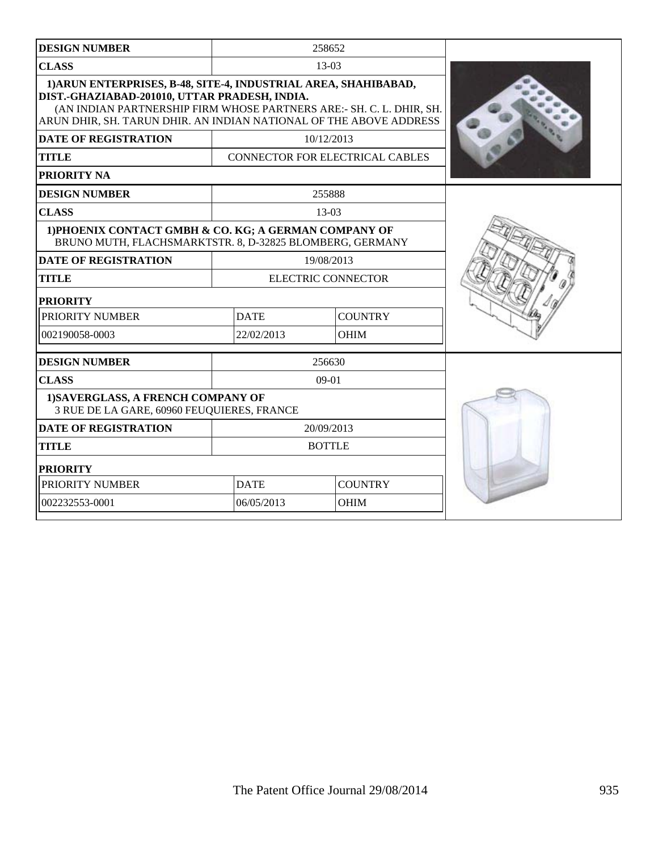| <b>DESIGN NUMBER</b>                                                                                                                                                                                                                                           |             | 258652                          |  |
|----------------------------------------------------------------------------------------------------------------------------------------------------------------------------------------------------------------------------------------------------------------|-------------|---------------------------------|--|
| <b>CLASS</b>                                                                                                                                                                                                                                                   |             | $13-03$                         |  |
| 1) ARUN ENTERPRISES, B-48, SITE-4, INDUSTRIAL AREA, SHAHIBABAD,<br>DIST.-GHAZIABAD-201010, UTTAR PRADESH, INDIA.<br>(AN INDIAN PARTNERSHIP FIRM WHOSE PARTNERS ARE:- SH. C. L. DHIR, SH.<br>ARUN DHIR, SH. TARUN DHIR. AN INDIAN NATIONAL OF THE ABOVE ADDRESS |             |                                 |  |
| DATE OF REGISTRATION                                                                                                                                                                                                                                           |             | 10/12/2013                      |  |
| <b>TITLE</b>                                                                                                                                                                                                                                                   |             | CONNECTOR FOR ELECTRICAL CABLES |  |
| <b>PRIORITY NA</b>                                                                                                                                                                                                                                             |             |                                 |  |
| <b>DESIGN NUMBER</b>                                                                                                                                                                                                                                           |             | 255888                          |  |
| <b>CLASS</b>                                                                                                                                                                                                                                                   |             | $13-03$                         |  |
| 1) PHOENIX CONTACT GMBH & CO. KG; A GERMAN COMPANY OF<br>BRUNO MUTH, FLACHSMARKTSTR. 8, D-32825 BLOMBERG, GERMANY                                                                                                                                              |             |                                 |  |
| <b>DATE OF REGISTRATION</b>                                                                                                                                                                                                                                    |             | 19/08/2013                      |  |
| <b>TITLE</b>                                                                                                                                                                                                                                                   |             | <b>ELECTRIC CONNECTOR</b>       |  |
| <b>PRIORITY</b>                                                                                                                                                                                                                                                |             |                                 |  |
| PRIORITY NUMBER                                                                                                                                                                                                                                                | <b>DATE</b> | <b>COUNTRY</b>                  |  |
| 002190058-0003                                                                                                                                                                                                                                                 | 22/02/2013  | <b>OHIM</b>                     |  |
| <b>DESIGN NUMBER</b>                                                                                                                                                                                                                                           |             | 256630                          |  |
| <b>CLASS</b>                                                                                                                                                                                                                                                   |             | $09-01$                         |  |
| 1) SAVERGLASS, A FRENCH COMPANY OF<br>3 RUE DE LA GARE, 60960 FEUQUIERES, FRANCE                                                                                                                                                                               |             |                                 |  |
| <b>DATE OF REGISTRATION</b>                                                                                                                                                                                                                                    |             | 20/09/2013                      |  |
| <b>TITLE</b>                                                                                                                                                                                                                                                   |             | <b>BOTTLE</b>                   |  |
| <b>PRIORITY</b>                                                                                                                                                                                                                                                |             |                                 |  |
| PRIORITY NUMBER                                                                                                                                                                                                                                                | <b>DATE</b> | <b>COUNTRY</b>                  |  |
| 002232553-0001                                                                                                                                                                                                                                                 | 06/05/2013  | <b>OHIM</b>                     |  |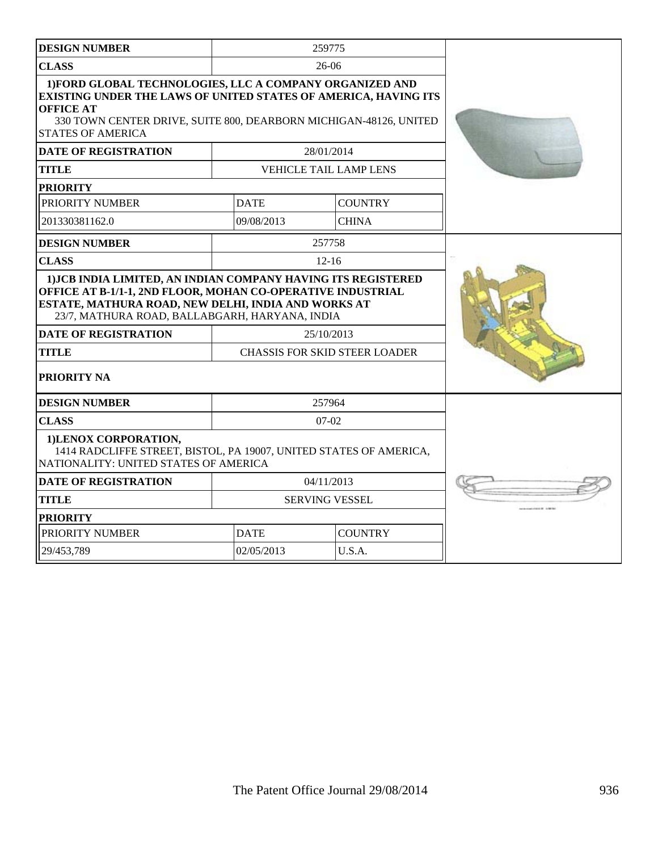| <b>DESIGN NUMBER</b>                                                                                                                                                                                                                                                                                |             | 259775                                             |  |
|-----------------------------------------------------------------------------------------------------------------------------------------------------------------------------------------------------------------------------------------------------------------------------------------------------|-------------|----------------------------------------------------|--|
| <b>CLASS</b>                                                                                                                                                                                                                                                                                        |             | $26-06$                                            |  |
| 1) FORD GLOBAL TECHNOLOGIES, LLC A COMPANY ORGANIZED AND<br>EXISTING UNDER THE LAWS OF UNITED STATES OF AMERICA, HAVING ITS<br><b>OFFICE AT</b><br>330 TOWN CENTER DRIVE, SUITE 800, DEARBORN MICHIGAN-48126, UNITED<br><b>STATES OF AMERICA</b>                                                    |             |                                                    |  |
| <b>DATE OF REGISTRATION</b>                                                                                                                                                                                                                                                                         |             | 28/01/2014                                         |  |
| <b>TITLE</b>                                                                                                                                                                                                                                                                                        |             | <b>VEHICLE TAIL LAMP LENS</b>                      |  |
| <b>PRIORITY</b>                                                                                                                                                                                                                                                                                     |             |                                                    |  |
| PRIORITY NUMBER                                                                                                                                                                                                                                                                                     | <b>DATE</b> | <b>COUNTRY</b>                                     |  |
| 201330381162.0                                                                                                                                                                                                                                                                                      | 09/08/2013  | <b>CHINA</b>                                       |  |
| <b>DESIGN NUMBER</b>                                                                                                                                                                                                                                                                                |             | 257758                                             |  |
| <b>CLASS</b>                                                                                                                                                                                                                                                                                        |             | $12 - 16$                                          |  |
| 1) JCB INDIA LIMITED, AN INDIAN COMPANY HAVING ITS REGISTERED<br>OFFICE AT B-1/1-1, 2ND FLOOR, MOHAN CO-OPERATIVE INDUSTRIAL<br>ESTATE, MATHURA ROAD, NEW DELHI, INDIA AND WORKS AT<br>23/7, MATHURA ROAD, BALLABGARH, HARYANA, INDIA<br><b>DATE OF REGISTRATION</b><br>TITLE<br><b>PRIORITY NA</b> |             | 25/10/2013<br><b>CHASSIS FOR SKID STEER LOADER</b> |  |
| <b>DESIGN NUMBER</b>                                                                                                                                                                                                                                                                                |             | 257964                                             |  |
| <b>CLASS</b>                                                                                                                                                                                                                                                                                        |             | $07-02$                                            |  |
| 1) LENOX CORPORATION,<br>1414 RADCLIFFE STREET, BISTOL, PA 19007, UNITED STATES OF AMERICA,<br>NATIONALITY: UNITED STATES OF AMERICA                                                                                                                                                                |             |                                                    |  |
| DATE OF REGISTRATION                                                                                                                                                                                                                                                                                |             | 04/11/2013                                         |  |
| <b>TITLE</b>                                                                                                                                                                                                                                                                                        |             | <b>SERVING VESSEL</b>                              |  |
| <b>PRIORITY</b>                                                                                                                                                                                                                                                                                     |             |                                                    |  |
| PRIORITY NUMBER                                                                                                                                                                                                                                                                                     | <b>DATE</b> | <b>COUNTRY</b>                                     |  |
| 29/453,789                                                                                                                                                                                                                                                                                          | 02/05/2013  | U.S.A.                                             |  |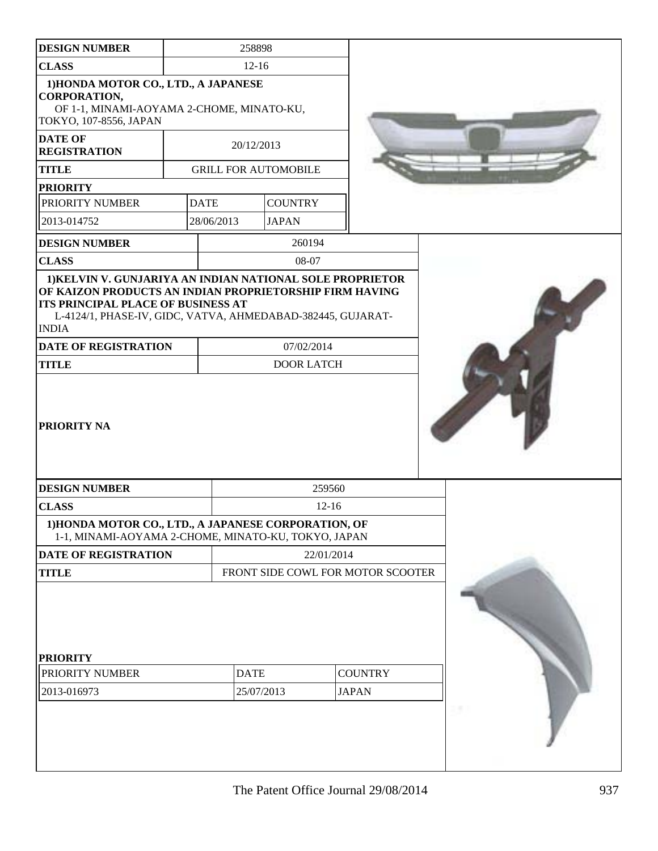| <b>DESIGN NUMBER</b>                                                                                                                                                                          |             | 258898                            |                                 |                                |  |
|-----------------------------------------------------------------------------------------------------------------------------------------------------------------------------------------------|-------------|-----------------------------------|---------------------------------|--------------------------------|--|
| <b>CLASS</b>                                                                                                                                                                                  |             | $12-16$                           |                                 |                                |  |
| 1) HONDA MOTOR CO., LTD., A JAPANESE<br><b>CORPORATION,</b><br>OF 1-1, MINAMI-AOYAMA 2-CHOME, MINATO-KU,                                                                                      |             |                                   |                                 |                                |  |
| TOKYO, 107-8556, JAPAN                                                                                                                                                                        |             |                                   |                                 |                                |  |
| <b>DATE OF</b><br><b>REGISTRATION</b>                                                                                                                                                         |             | 20/12/2013                        |                                 |                                |  |
| <b>TITLE</b>                                                                                                                                                                                  |             | <b>GRILL FOR AUTOMOBILE</b>       |                                 |                                |  |
| <b>PRIORITY</b>                                                                                                                                                                               |             |                                   |                                 |                                |  |
| PRIORITY NUMBER                                                                                                                                                                               | <b>DATE</b> | <b>COUNTRY</b>                    |                                 |                                |  |
| 2013-014752                                                                                                                                                                                   | 28/06/2013  | <b>JAPAN</b>                      |                                 |                                |  |
| <b>DESIGN NUMBER</b>                                                                                                                                                                          |             |                                   | 260194                          |                                |  |
| <b>CLASS</b>                                                                                                                                                                                  |             |                                   | 08-07                           |                                |  |
| <b>ITS PRINCIPAL PLACE OF BUSINESS AT</b><br>L-4124/1, PHASE-IV, GIDC, VATVA, AHMEDABAD-382445, GUJARAT-<br><b>INDIA</b><br><b>DATE OF REGISTRATION</b><br><b>TITLE</b><br><b>PRIORITY NA</b> |             |                                   | 07/02/2014<br><b>DOOR LATCH</b> |                                |  |
| <b>DESIGN NUMBER</b>                                                                                                                                                                          |             |                                   | 259560                          |                                |  |
| <b>CLASS</b>                                                                                                                                                                                  |             |                                   | $12 - 16$                       |                                |  |
| 1) HONDA MOTOR CO., LTD., A JAPANESE CORPORATION, OF<br>1-1, MINAMI-AOYAMA 2-CHOME, MINATO-KU, TOKYO, JAPAN                                                                                   |             |                                   |                                 |                                |  |
| <b>DATE OF REGISTRATION</b>                                                                                                                                                                   |             |                                   | 22/01/2014                      |                                |  |
| <b>TITLE</b>                                                                                                                                                                                  |             | FRONT SIDE COWL FOR MOTOR SCOOTER |                                 |                                |  |
| <b>PRIORITY</b><br>PRIORITY NUMBER<br>2013-016973                                                                                                                                             |             | <b>DATE</b><br>25/07/2013         |                                 | <b>COUNTRY</b><br><b>JAPAN</b> |  |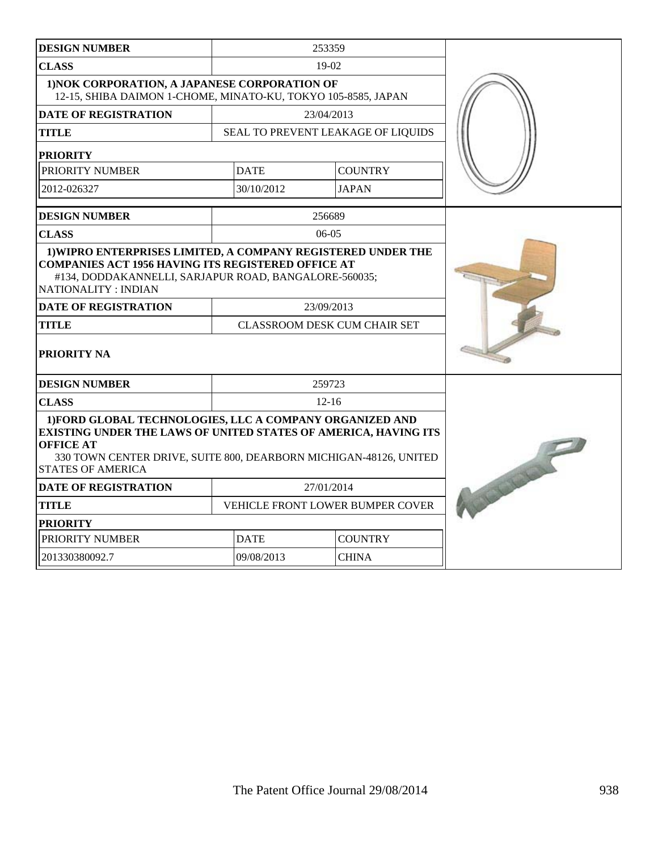| <b>DESIGN NUMBER</b>                                                                                                                                                                                                                                    |                                  | 253359     |                                     |  |
|---------------------------------------------------------------------------------------------------------------------------------------------------------------------------------------------------------------------------------------------------------|----------------------------------|------------|-------------------------------------|--|
| <b>CLASS</b>                                                                                                                                                                                                                                            |                                  | $19-02$    |                                     |  |
| 1) NOK CORPORATION, A JAPANESE CORPORATION OF<br>12-15, SHIBA DAIMON 1-CHOME, MINATO-KU, TOKYO 105-8585, JAPAN                                                                                                                                          |                                  |            |                                     |  |
| <b>DATE OF REGISTRATION</b>                                                                                                                                                                                                                             |                                  | 23/04/2013 |                                     |  |
| <b>TITLE</b>                                                                                                                                                                                                                                            |                                  |            | SEAL TO PREVENT LEAKAGE OF LIQUIDS  |  |
| <b>PRIORITY</b>                                                                                                                                                                                                                                         |                                  |            |                                     |  |
| PRIORITY NUMBER                                                                                                                                                                                                                                         | <b>DATE</b>                      |            | <b>COUNTRY</b>                      |  |
| 2012-026327                                                                                                                                                                                                                                             | 30/10/2012                       |            | <b>JAPAN</b>                        |  |
| <b>DESIGN NUMBER</b>                                                                                                                                                                                                                                    |                                  | 256689     |                                     |  |
| <b>CLASS</b>                                                                                                                                                                                                                                            |                                  | $06-05$    |                                     |  |
| 1) WIPRO ENTERPRISES LIMITED, A COMPANY REGISTERED UNDER THE<br><b>COMPANIES ACT 1956 HAVING ITS REGISTERED OFFICE AT</b><br>#134, DODDAKANNELLI, SARJAPUR ROAD, BANGALORE-560035;<br>NATIONALITY : INDIAN                                              |                                  |            |                                     |  |
| <b>DATE OF REGISTRATION</b>                                                                                                                                                                                                                             |                                  | 23/09/2013 |                                     |  |
| <b>TITLE</b>                                                                                                                                                                                                                                            |                                  |            | <b>CLASSROOM DESK CUM CHAIR SET</b> |  |
| <b>PRIORITY NA</b>                                                                                                                                                                                                                                      |                                  |            |                                     |  |
| <b>DESIGN NUMBER</b>                                                                                                                                                                                                                                    |                                  | 259723     |                                     |  |
| <b>CLASS</b>                                                                                                                                                                                                                                            |                                  | $12 - 16$  |                                     |  |
| 1) FORD GLOBAL TECHNOLOGIES, LLC A COMPANY ORGANIZED AND<br><b>EXISTING UNDER THE LAWS OF UNITED STATES OF AMERICA, HAVING ITS</b><br><b>OFFICE AT</b><br>330 TOWN CENTER DRIVE, SUITE 800, DEARBORN MICHIGAN-48126, UNITED<br><b>STATES OF AMERICA</b> | Coleman Coleman                  |            |                                     |  |
| <b>DATE OF REGISTRATION</b>                                                                                                                                                                                                                             | 27/01/2014                       |            |                                     |  |
| <b>TITLE</b>                                                                                                                                                                                                                                            | VEHICLE FRONT LOWER BUMPER COVER |            |                                     |  |
| <b>PRIORITY</b>                                                                                                                                                                                                                                         |                                  |            |                                     |  |
| PRIORITY NUMBER                                                                                                                                                                                                                                         | <b>COUNTRY</b><br><b>DATE</b>    |            |                                     |  |
| 201330380092.7                                                                                                                                                                                                                                          | 09/08/2013                       |            | <b>CHINA</b>                        |  |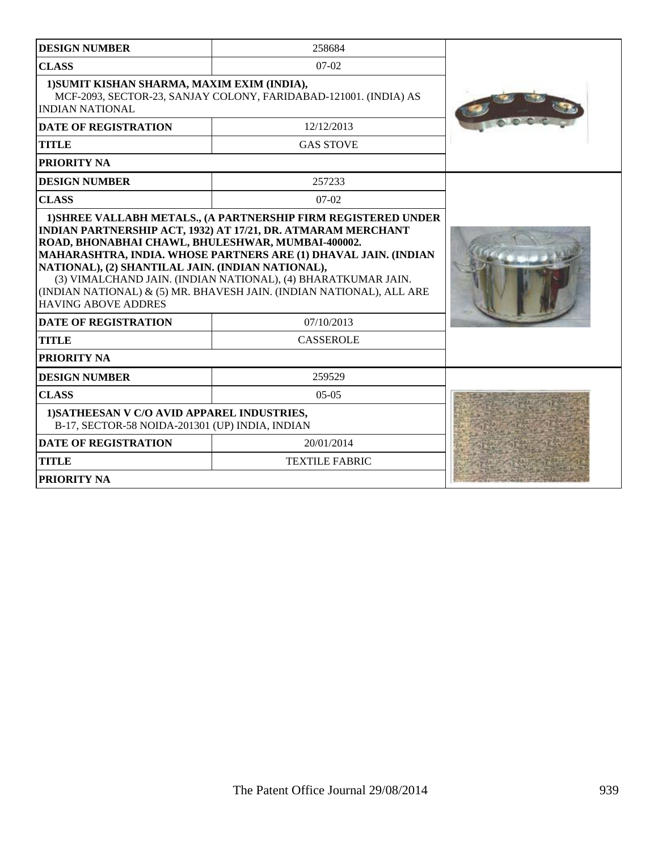| <b>DESIGN NUMBER</b>                                                                                                                                                | 258684                                                                                                                                                                                                                                                                                        |  |  |  |  |  |  |
|---------------------------------------------------------------------------------------------------------------------------------------------------------------------|-----------------------------------------------------------------------------------------------------------------------------------------------------------------------------------------------------------------------------------------------------------------------------------------------|--|--|--|--|--|--|
| <b>CLASS</b>                                                                                                                                                        | $07-02$                                                                                                                                                                                                                                                                                       |  |  |  |  |  |  |
| 1) SUMIT KISHAN SHARMA, MAXIM EXIM (INDIA),<br>MCF-2093, SECTOR-23, SANJAY COLONY, FARIDABAD-121001. (INDIA) AS<br><b>INDIAN NATIONAL</b>                           |                                                                                                                                                                                                                                                                                               |  |  |  |  |  |  |
| <b>DATE OF REGISTRATION</b>                                                                                                                                         | 12/12/2013                                                                                                                                                                                                                                                                                    |  |  |  |  |  |  |
| <b>TITLE</b>                                                                                                                                                        | <b>GAS STOVE</b>                                                                                                                                                                                                                                                                              |  |  |  |  |  |  |
| PRIORITY NA                                                                                                                                                         |                                                                                                                                                                                                                                                                                               |  |  |  |  |  |  |
| <b>DESIGN NUMBER</b>                                                                                                                                                | 257233                                                                                                                                                                                                                                                                                        |  |  |  |  |  |  |
| <b>CLASS</b>                                                                                                                                                        | $07-02$                                                                                                                                                                                                                                                                                       |  |  |  |  |  |  |
| ROAD, BHONABHAI CHAWL, BHULESHWAR, MUMBAI-400002.<br>NATIONAL), (2) SHANTILAL JAIN. (INDIAN NATIONAL),<br><b>HAVING ABOVE ADDRES</b><br><b>DATE OF REGISTRATION</b> | <b>INDIAN PARTNERSHIP ACT, 1932) AT 17/21, DR. ATMARAM MERCHANT</b><br>MAHARASHTRA, INDIA. WHOSE PARTNERS ARE (1) DHAVAL JAIN. (INDIAN<br>(3) VIMALCHAND JAIN. (INDIAN NATIONAL), (4) BHARATKUMAR JAIN.<br>(INDIAN NATIONAL) & (5) MR. BHAVESH JAIN. (INDIAN NATIONAL), ALL ARE<br>07/10/2013 |  |  |  |  |  |  |
| <b>TITLE</b>                                                                                                                                                        | <b>CASSEROLE</b>                                                                                                                                                                                                                                                                              |  |  |  |  |  |  |
| PRIORITY NA                                                                                                                                                         |                                                                                                                                                                                                                                                                                               |  |  |  |  |  |  |
| <b>DESIGN NUMBER</b>                                                                                                                                                | 259529                                                                                                                                                                                                                                                                                        |  |  |  |  |  |  |
| <b>CLASS</b>                                                                                                                                                        | $05-05$                                                                                                                                                                                                                                                                                       |  |  |  |  |  |  |
| 1) SATHEESAN V C/O AVID APPAREL INDUSTRIES,<br>B-17, SECTOR-58 NOIDA-201301 (UP) INDIA, INDIAN                                                                      |                                                                                                                                                                                                                                                                                               |  |  |  |  |  |  |
| <b>DATE OF REGISTRATION</b>                                                                                                                                         | 20/01/2014                                                                                                                                                                                                                                                                                    |  |  |  |  |  |  |
| <b>TITLE</b>                                                                                                                                                        | <b>TEXTILE FABRIC</b>                                                                                                                                                                                                                                                                         |  |  |  |  |  |  |
| <b>PRIORITY NA</b>                                                                                                                                                  |                                                                                                                                                                                                                                                                                               |  |  |  |  |  |  |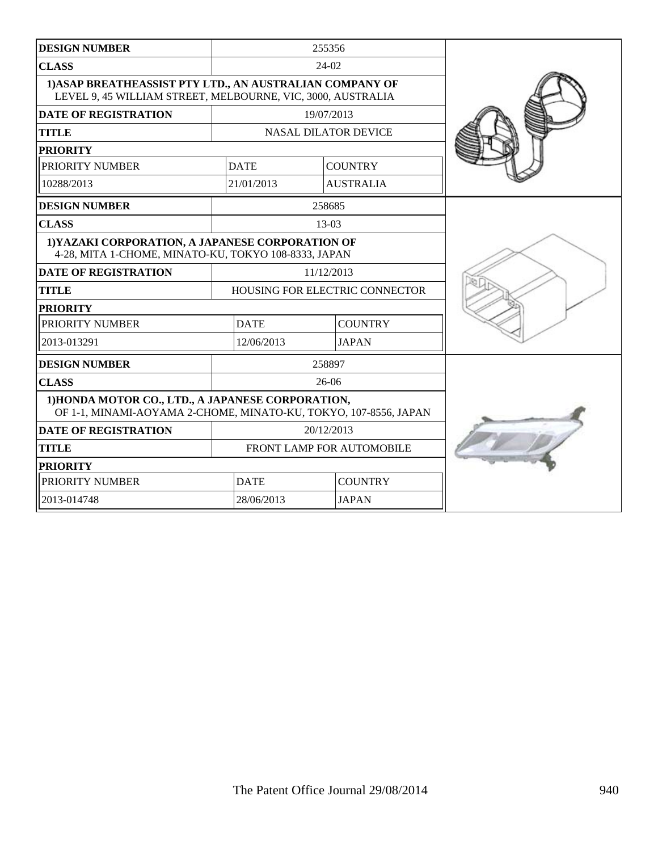| <b>DESIGN NUMBER</b>                                                                                                    |                               | 255356                         |  |
|-------------------------------------------------------------------------------------------------------------------------|-------------------------------|--------------------------------|--|
| <b>CLASS</b>                                                                                                            |                               | 24-02                          |  |
| 1) ASAP BREATHEASSIST PTY LTD., AN AUSTRALIAN COMPANY OF<br>LEVEL 9, 45 WILLIAM STREET, MELBOURNE, VIC, 3000, AUSTRALIA |                               |                                |  |
| <b>DATE OF REGISTRATION</b>                                                                                             |                               | 19/07/2013                     |  |
| <b>TITLE</b>                                                                                                            |                               | <b>NASAL DILATOR DEVICE</b>    |  |
| <b>PRIORITY</b>                                                                                                         |                               |                                |  |
| PRIORITY NUMBER                                                                                                         | <b>DATE</b>                   | <b>COUNTRY</b>                 |  |
| 10288/2013                                                                                                              | 21/01/2013                    | <b>AUSTRALIA</b>               |  |
| <b>DESIGN NUMBER</b>                                                                                                    |                               | 258685                         |  |
| <b>CLASS</b>                                                                                                            |                               | $13-03$                        |  |
| 1) YAZAKI CORPORATION, A JAPANESE CORPORATION OF<br>4-28, MITA 1-CHOME, MINATO-KU, TOKYO 108-8333, JAPAN                |                               |                                |  |
| <b>DATE OF REGISTRATION</b>                                                                                             |                               | 11/12/2013                     |  |
| <b>TITLE</b>                                                                                                            |                               | HOUSING FOR ELECTRIC CONNECTOR |  |
| <b>PRIORITY</b>                                                                                                         |                               |                                |  |
| PRIORITY NUMBER                                                                                                         | <b>DATE</b><br><b>COUNTRY</b> |                                |  |
| 2013-013291                                                                                                             | 12/06/2013                    | <b>JAPAN</b>                   |  |
| <b>DESIGN NUMBER</b>                                                                                                    |                               | 258897                         |  |
| <b>CLASS</b>                                                                                                            |                               | $26-06$                        |  |
| 1) HONDA MOTOR CO., LTD., A JAPANESE CORPORATION,<br>OF 1-1, MINAMI-AOYAMA 2-CHOME, MINATO-KU, TOKYO, 107-8556, JAPAN   |                               |                                |  |
| <b>DATE OF REGISTRATION</b>                                                                                             |                               | 20/12/2013                     |  |
| <b>TITLE</b>                                                                                                            |                               | FRONT LAMP FOR AUTOMOBILE      |  |
| <b>PRIORITY</b>                                                                                                         |                               |                                |  |
| PRIORITY NUMBER                                                                                                         | <b>DATE</b>                   | <b>COUNTRY</b>                 |  |
| 2013-014748                                                                                                             | 28/06/2013                    | <b>JAPAN</b>                   |  |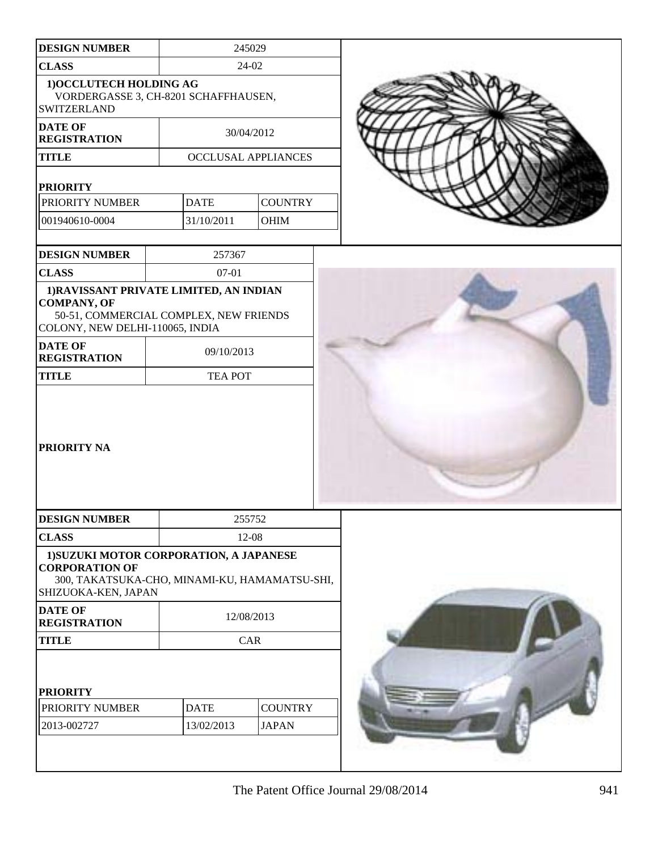| <b>DESIGN NUMBER</b>                                                                                                                       |                | 245029                     |  |  |  |  |
|--------------------------------------------------------------------------------------------------------------------------------------------|----------------|----------------------------|--|--|--|--|
| <b>CLASS</b>                                                                                                                               |                | 24-02                      |  |  |  |  |
| 1) OCCLUTECH HOLDING AG<br>VORDERGASSE 3, CH-8201 SCHAFFHAUSEN,<br><b>SWITZERLAND</b>                                                      |                |                            |  |  |  |  |
| <b>DATE OF</b><br><b>REGISTRATION</b>                                                                                                      |                | 30/04/2012                 |  |  |  |  |
| <b>TITLE</b>                                                                                                                               |                | <b>OCCLUSAL APPLIANCES</b> |  |  |  |  |
| <b>PRIORITY</b>                                                                                                                            |                |                            |  |  |  |  |
| PRIORITY NUMBER                                                                                                                            | <b>DATE</b>    | <b>COUNTRY</b>             |  |  |  |  |
| 001940610-0004                                                                                                                             | 31/10/2011     | <b>OHIM</b>                |  |  |  |  |
|                                                                                                                                            |                |                            |  |  |  |  |
| <b>DESIGN NUMBER</b>                                                                                                                       | 257367         |                            |  |  |  |  |
| <b>CLASS</b>                                                                                                                               | $07 - 01$      |                            |  |  |  |  |
| 1) RAVISSANT PRIVATE LIMITED, AN INDIAN<br><b>COMPANY, OF</b><br>50-51, COMMERCIAL COMPLEX, NEW FRIENDS<br>COLONY, NEW DELHI-110065, INDIA |                |                            |  |  |  |  |
| <b>DATE OF</b><br><b>REGISTRATION</b>                                                                                                      | 09/10/2013     |                            |  |  |  |  |
| <b>TITLE</b>                                                                                                                               | <b>TEA POT</b> |                            |  |  |  |  |
| PRIORITY NA                                                                                                                                |                |                            |  |  |  |  |
| <b>DESIGN NUMBER</b>                                                                                                                       |                | 255752                     |  |  |  |  |
| <b>CLASS</b>                                                                                                                               |                | 12-08                      |  |  |  |  |
| 1) SUZUKI MOTOR CORPORATION, A JAPANESE<br><b>CORPORATION OF</b><br>300, TAKATSUKA-CHO, MINAMI-KU, HAMAMATSU-SHI,<br>SHIZUOKA-KEN, JAPAN   |                |                            |  |  |  |  |
| <b>DATE OF</b><br><b>REGISTRATION</b>                                                                                                      |                | 12/08/2013                 |  |  |  |  |
| <b>TITLE</b>                                                                                                                               |                | CAR                        |  |  |  |  |
| <b>PRIORITY</b>                                                                                                                            |                |                            |  |  |  |  |
| PRIORITY NUMBER                                                                                                                            | <b>DATE</b>    | <b>COUNTRY</b>             |  |  |  |  |
| 2013-002727                                                                                                                                | 13/02/2013     | <b>JAPAN</b>               |  |  |  |  |
|                                                                                                                                            |                |                            |  |  |  |  |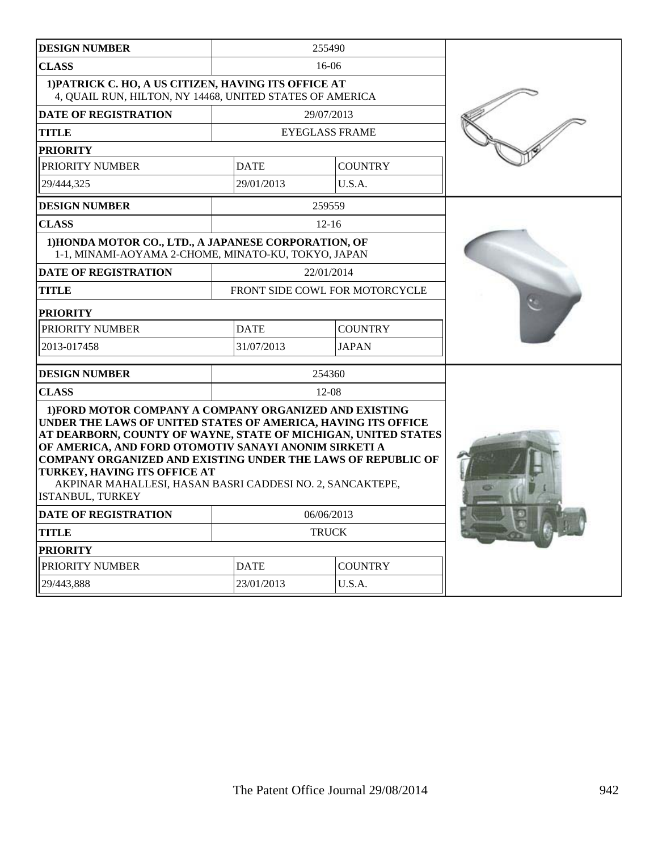| <b>DESIGN NUMBER</b>                                                                                                                                                                                                                                                                                                                                                                                                                       |             | 255490                         |  |
|--------------------------------------------------------------------------------------------------------------------------------------------------------------------------------------------------------------------------------------------------------------------------------------------------------------------------------------------------------------------------------------------------------------------------------------------|-------------|--------------------------------|--|
| <b>CLASS</b>                                                                                                                                                                                                                                                                                                                                                                                                                               |             | $16-06$                        |  |
| 1) PATRICK C. HO, A US CITIZEN, HAVING ITS OFFICE AT<br>4, QUAIL RUN, HILTON, NY 14468, UNITED STATES OF AMERICA                                                                                                                                                                                                                                                                                                                           |             |                                |  |
| <b>DATE OF REGISTRATION</b>                                                                                                                                                                                                                                                                                                                                                                                                                |             | 29/07/2013                     |  |
| <b>TITLE</b>                                                                                                                                                                                                                                                                                                                                                                                                                               |             | <b>EYEGLASS FRAME</b>          |  |
| <b>PRIORITY</b>                                                                                                                                                                                                                                                                                                                                                                                                                            |             |                                |  |
| PRIORITY NUMBER                                                                                                                                                                                                                                                                                                                                                                                                                            | <b>DATE</b> | <b>COUNTRY</b>                 |  |
| 29/444,325                                                                                                                                                                                                                                                                                                                                                                                                                                 | 29/01/2013  | U.S.A.                         |  |
| <b>DESIGN NUMBER</b>                                                                                                                                                                                                                                                                                                                                                                                                                       |             | 259559                         |  |
| <b>CLASS</b>                                                                                                                                                                                                                                                                                                                                                                                                                               |             | $12 - 16$                      |  |
| 1) HONDA MOTOR CO., LTD., A JAPANESE CORPORATION, OF<br>1-1, MINAMI-AOYAMA 2-CHOME, MINATO-KU, TOKYO, JAPAN                                                                                                                                                                                                                                                                                                                                |             |                                |  |
| <b>DATE OF REGISTRATION</b>                                                                                                                                                                                                                                                                                                                                                                                                                |             | 22/01/2014                     |  |
| <b>TITLE</b>                                                                                                                                                                                                                                                                                                                                                                                                                               |             | FRONT SIDE COWL FOR MOTORCYCLE |  |
| <b>PRIORITY</b>                                                                                                                                                                                                                                                                                                                                                                                                                            |             |                                |  |
| PRIORITY NUMBER                                                                                                                                                                                                                                                                                                                                                                                                                            | <b>DATE</b> | <b>COUNTRY</b>                 |  |
| 2013-017458                                                                                                                                                                                                                                                                                                                                                                                                                                | 31/07/2013  | <b>JAPAN</b>                   |  |
| <b>DESIGN NUMBER</b>                                                                                                                                                                                                                                                                                                                                                                                                                       |             | 254360                         |  |
| <b>CLASS</b>                                                                                                                                                                                                                                                                                                                                                                                                                               |             | $12 - 08$                      |  |
| 1) FORD MOTOR COMPANY A COMPANY ORGANIZED AND EXISTING<br>UNDER THE LAWS OF UNITED STATES OF AMERICA, HAVING ITS OFFICE<br>AT DEARBORN, COUNTY OF WAYNE, STATE OF MICHIGAN, UNITED STATES<br>OF AMERICA, AND FORD OTOMOTIV SANAYI ANONIM SIRKETI A<br><b>COMPANY ORGANIZED AND EXISTING UNDER THE LAWS OF REPUBLIC OF</b><br>TURKEY, HAVING ITS OFFICE AT<br>AKPINAR MAHALLESI, HASAN BASRI CADDESI NO. 2, SANCAKTEPE,<br>ISTANBUL, TURKEY |             |                                |  |
| <b>DATE OF REGISTRATION</b>                                                                                                                                                                                                                                                                                                                                                                                                                |             | 06/06/2013                     |  |
| <b>TITLE</b>                                                                                                                                                                                                                                                                                                                                                                                                                               |             | <b>TRUCK</b>                   |  |
| <b>PRIORITY</b>                                                                                                                                                                                                                                                                                                                                                                                                                            |             |                                |  |
| PRIORITY NUMBER                                                                                                                                                                                                                                                                                                                                                                                                                            | <b>DATE</b> | <b>COUNTRY</b>                 |  |
| 29/443,888                                                                                                                                                                                                                                                                                                                                                                                                                                 | 23/01/2013  | U.S.A.                         |  |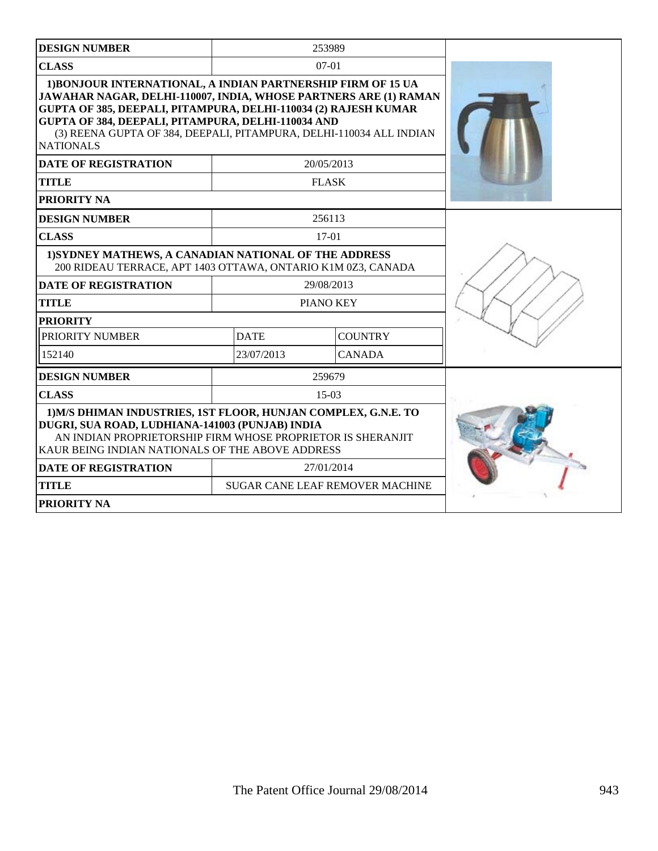| <b>DESIGN NUMBER</b>                                                                                                                                                                                                                                                                                                                                                                       |             | 253989                                 |  |
|--------------------------------------------------------------------------------------------------------------------------------------------------------------------------------------------------------------------------------------------------------------------------------------------------------------------------------------------------------------------------------------------|-------------|----------------------------------------|--|
| <b>CLASS</b>                                                                                                                                                                                                                                                                                                                                                                               |             | $07-01$                                |  |
| 1) BONJOUR INTERNATIONAL, A INDIAN PARTNERSHIP FIRM OF 15 UA<br>JAWAHAR NAGAR, DELHI-110007, INDIA, WHOSE PARTNERS ARE (1) RAMAN<br><b>GUPTA OF 385, DEEPALI, PITAMPURA, DELHI-110034 (2) RAJESH KUMAR</b><br>GUPTA OF 384, DEEPALI, PITAMPURA, DELHI-110034 AND<br>(3) REENA GUPTA OF 384, DEEPALI, PITAMPURA, DELHI-110034 ALL INDIAN<br><b>NATIONALS</b><br><b>DATE OF REGISTRATION</b> |             |                                        |  |
| <b>TITLE</b>                                                                                                                                                                                                                                                                                                                                                                               |             | 20/05/2013<br><b>FLASK</b>             |  |
| PRIORITY NA                                                                                                                                                                                                                                                                                                                                                                                |             |                                        |  |
| <b>DESIGN NUMBER</b>                                                                                                                                                                                                                                                                                                                                                                       |             | 256113                                 |  |
| <b>CLASS</b>                                                                                                                                                                                                                                                                                                                                                                               |             | $17-01$                                |  |
| 1) SYDNEY MATHEWS, A CANADIAN NATIONAL OF THE ADDRESS<br>200 RIDEAU TERRACE, APT 1403 OTTAWA, ONTARIO K1M 0Z3, CANADA                                                                                                                                                                                                                                                                      |             |                                        |  |
| <b>DATE OF REGISTRATION</b>                                                                                                                                                                                                                                                                                                                                                                |             | 29/08/2013                             |  |
| <b>TITLE</b>                                                                                                                                                                                                                                                                                                                                                                               |             | PIANO KEY                              |  |
| <b>PRIORITY</b>                                                                                                                                                                                                                                                                                                                                                                            |             |                                        |  |
| PRIORITY NUMBER                                                                                                                                                                                                                                                                                                                                                                            | <b>DATE</b> | <b>COUNTRY</b>                         |  |
| 152140                                                                                                                                                                                                                                                                                                                                                                                     | 23/07/2013  | <b>CANADA</b>                          |  |
| <b>DESIGN NUMBER</b>                                                                                                                                                                                                                                                                                                                                                                       |             | 259679                                 |  |
| <b>CLASS</b>                                                                                                                                                                                                                                                                                                                                                                               |             | $15-03$                                |  |
| 1) M/S DHIMAN INDUSTRIES, 1ST FLOOR, HUNJAN COMPLEX, G.N.E. TO<br>DUGRI, SUA ROAD, LUDHIANA-141003 (PUNJAB) INDIA<br>AN INDIAN PROPRIETORSHIP FIRM WHOSE PROPRIETOR IS SHERANJIT<br>KAUR BEING INDIAN NATIONALS OF THE ABOVE ADDRESS                                                                                                                                                       |             |                                        |  |
| <b>DATE OF REGISTRATION</b>                                                                                                                                                                                                                                                                                                                                                                |             | 27/01/2014                             |  |
| <b>TITLE</b>                                                                                                                                                                                                                                                                                                                                                                               |             | <b>SUGAR CANE LEAF REMOVER MACHINE</b> |  |
| PRIORITY NA                                                                                                                                                                                                                                                                                                                                                                                |             |                                        |  |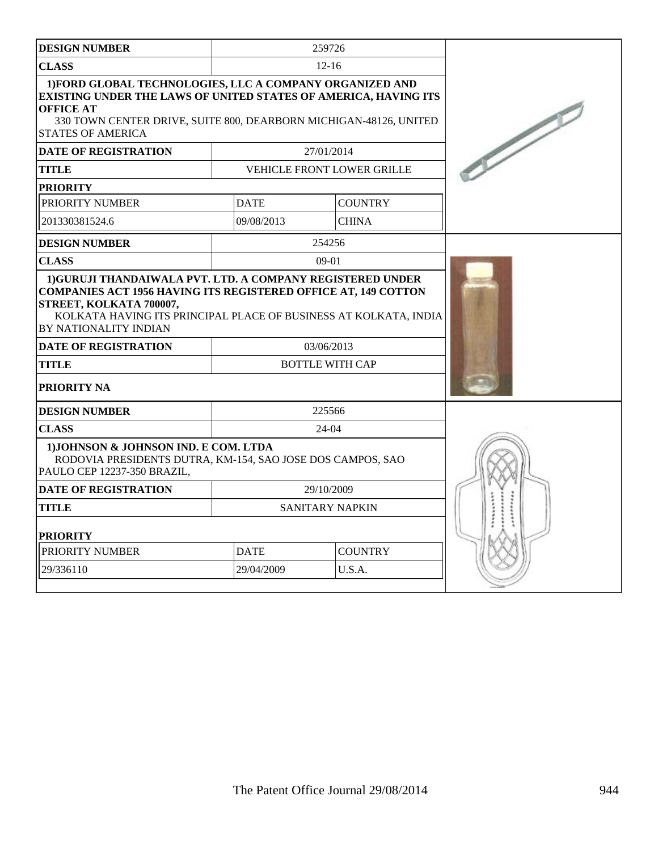| <b>DESIGN NUMBER</b>                                                                                                                                                                                                                             |             | 259726                               |  |
|--------------------------------------------------------------------------------------------------------------------------------------------------------------------------------------------------------------------------------------------------|-------------|--------------------------------------|--|
| <b>CLASS</b>                                                                                                                                                                                                                                     |             | $12 - 16$                            |  |
| 1) FORD GLOBAL TECHNOLOGIES, LLC A COMPANY ORGANIZED AND<br>EXISTING UNDER THE LAWS OF UNITED STATES OF AMERICA, HAVING ITS<br><b>OFFICE AT</b><br>330 TOWN CENTER DRIVE, SUITE 800, DEARBORN MICHIGAN-48126, UNITED<br><b>STATES OF AMERICA</b> |             |                                      |  |
| <b>DATE OF REGISTRATION</b>                                                                                                                                                                                                                      |             | 27/01/2014                           |  |
| TITLE                                                                                                                                                                                                                                            |             | VEHICLE FRONT LOWER GRILLE           |  |
| <b>PRIORITY</b>                                                                                                                                                                                                                                  |             |                                      |  |
| PRIORITY NUMBER                                                                                                                                                                                                                                  | <b>DATE</b> | <b>COUNTRY</b>                       |  |
| 201330381524.6                                                                                                                                                                                                                                   | 09/08/2013  | <b>CHINA</b>                         |  |
| <b>DESIGN NUMBER</b>                                                                                                                                                                                                                             |             | 254256                               |  |
| <b>CLASS</b>                                                                                                                                                                                                                                     |             | $09-01$                              |  |
| <b>COMPANIES ACT 1956 HAVING ITS REGISTERED OFFICE AT, 149 COTTON</b><br>STREET, KOLKATA 700007,<br>KOLKATA HAVING ITS PRINCIPAL PLACE OF BUSINESS AT KOLKATA, INDIA<br>BY NATIONALITY INDIAN<br><b>DATE OF REGISTRATION</b><br><b>TITLE</b>     |             | 03/06/2013<br><b>BOTTLE WITH CAP</b> |  |
| <b>PRIORITY NA</b>                                                                                                                                                                                                                               |             |                                      |  |
| <b>DESIGN NUMBER</b>                                                                                                                                                                                                                             |             | 225566                               |  |
| <b>CLASS</b>                                                                                                                                                                                                                                     |             | $24-04$                              |  |
| 1) JOHNSON & JOHNSON IND. E COM. LTDA<br>RODOVIA PRESIDENTS DUTRA, KM-154, SAO JOSE DOS CAMPOS, SAO<br>PAULO CEP 12237-350 BRAZIL,                                                                                                               |             |                                      |  |
| <b>DATE OF REGISTRATION</b>                                                                                                                                                                                                                      |             | 29/10/2009                           |  |
| <b>TITLE</b>                                                                                                                                                                                                                                     |             | <b>SANITARY NAPKIN</b>               |  |
| <b>PRIORITY</b>                                                                                                                                                                                                                                  |             |                                      |  |
| PRIORITY NUMBER                                                                                                                                                                                                                                  | <b>DATE</b> | <b>COUNTRY</b>                       |  |
| 29/336110                                                                                                                                                                                                                                        | 29/04/2009  | U.S.A.                               |  |
|                                                                                                                                                                                                                                                  |             |                                      |  |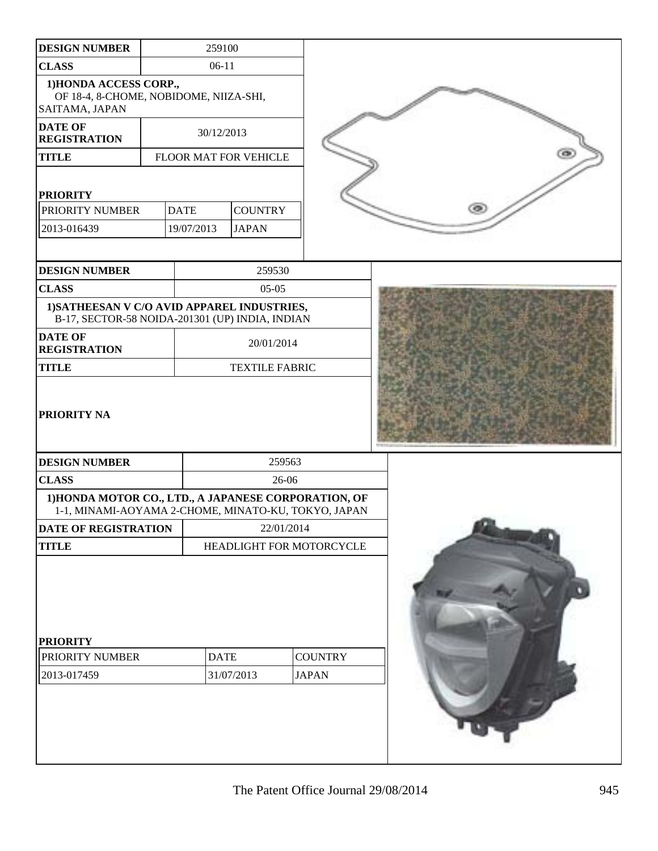| <b>DESIGN NUMBER</b>                                                                                        | 259100      |                          |              |                |  |   |  |  |
|-------------------------------------------------------------------------------------------------------------|-------------|--------------------------|--------------|----------------|--|---|--|--|
| <b>CLASS</b>                                                                                                | $06-11$     |                          |              |                |  |   |  |  |
| 1) HONDA ACCESS CORP.,<br>OF 18-4, 8-CHOME, NOBIDOME, NIIZA-SHI,<br>SAITAMA, JAPAN                          |             |                          |              |                |  |   |  |  |
| <b>DATE OF</b><br><b>REGISTRATION</b>                                                                       | 30/12/2013  |                          |              |                |  |   |  |  |
| <b>TITLE</b>                                                                                                |             | FLOOR MAT FOR VEHICLE    |              |                |  |   |  |  |
| <b>PRIORITY</b>                                                                                             |             |                          |              |                |  |   |  |  |
| PRIORITY NUMBER                                                                                             | <b>DATE</b> | <b>COUNTRY</b>           |              |                |  | œ |  |  |
| 2013-016439                                                                                                 | 19/07/2013  | <b>JAPAN</b>             |              |                |  |   |  |  |
| <b>DESIGN NUMBER</b>                                                                                        |             | 259530                   |              |                |  |   |  |  |
| <b>CLASS</b>                                                                                                |             | $05-05$                  |              |                |  |   |  |  |
| 1) SATHEESAN V C/O AVID APPAREL INDUSTRIES,<br>B-17, SECTOR-58 NOIDA-201301 (UP) INDIA, INDIAN              |             |                          |              |                |  |   |  |  |
| <b>DATE OF</b><br><b>REGISTRATION</b>                                                                       |             | 20/01/2014               |              |                |  |   |  |  |
| <b>TITLE</b>                                                                                                |             | <b>TEXTILE FABRIC</b>    |              |                |  |   |  |  |
| <b>PRIORITY NA</b>                                                                                          |             |                          |              |                |  |   |  |  |
| <b>DESIGN NUMBER</b>                                                                                        |             |                          | 259563       |                |  |   |  |  |
| <b>CLASS</b>                                                                                                |             |                          | 26-06        |                |  |   |  |  |
| 1) HONDA MOTOR CO., LTD., A JAPANESE CORPORATION, OF<br>1-1, MINAMI-AOYAMA 2-CHOME, MINATO-KU, TOKYO, JAPAN |             |                          |              |                |  |   |  |  |
| DATE OF REGISTRATION                                                                                        |             |                          | 22/01/2014   |                |  |   |  |  |
| <b>TITLE</b>                                                                                                |             | HEADLIGHT FOR MOTORCYCLE |              |                |  |   |  |  |
| <b>PRIORITY</b><br>PRIORITY NUMBER<br>2013-017459                                                           | <b>DATE</b> | 31/07/2013               | <b>JAPAN</b> | <b>COUNTRY</b> |  |   |  |  |
|                                                                                                             |             |                          |              |                |  |   |  |  |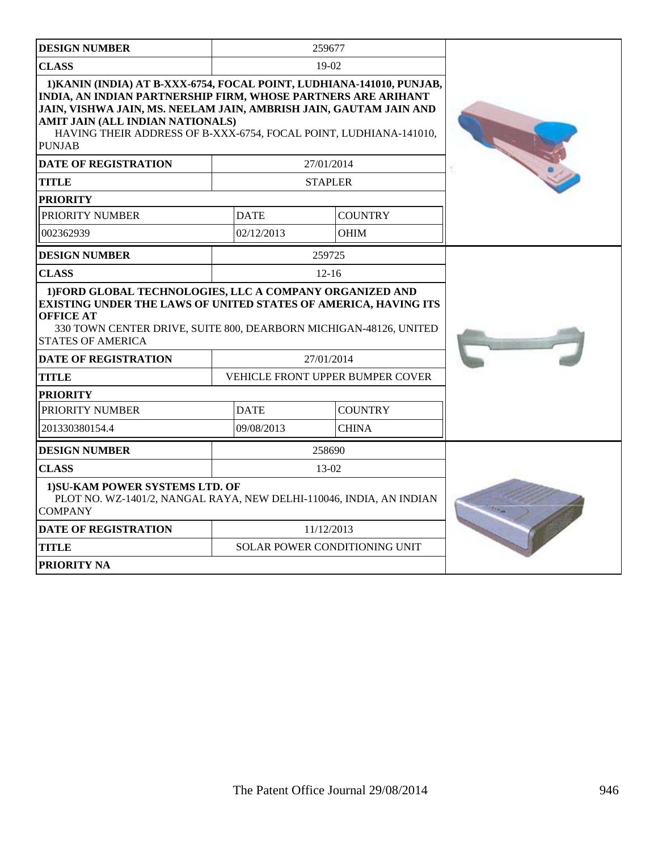| <b>DESIGN NUMBER</b>                                                                                                                                                                                                                                                                                                                         |             | 259677                               |  |
|----------------------------------------------------------------------------------------------------------------------------------------------------------------------------------------------------------------------------------------------------------------------------------------------------------------------------------------------|-------------|--------------------------------------|--|
| <b>CLASS</b>                                                                                                                                                                                                                                                                                                                                 |             | $19-02$                              |  |
| 1) KANIN (INDIA) AT B-XXX-6754, FOCAL POINT, LUDHIANA-141010, PUNJAB,<br><b>INDIA, AN INDIAN PARTNERSHIP FIRM, WHOSE PARTNERS ARE ARIHANT</b><br>JAIN, VISHWA JAIN, MS. NEELAM JAIN, AMBRISH JAIN, GAUTAM JAIN AND<br>AMIT JAIN (ALL INDIAN NATIONALS)<br>HAVING THEIR ADDRESS OF B-XXX-6754, FOCAL POINT, LUDHIANA-141010,<br><b>PUNJAB</b> |             |                                      |  |
| <b>DATE OF REGISTRATION</b>                                                                                                                                                                                                                                                                                                                  |             | 27/01/2014                           |  |
| <b>TITLE</b>                                                                                                                                                                                                                                                                                                                                 |             | <b>STAPLER</b>                       |  |
| <b>PRIORITY</b>                                                                                                                                                                                                                                                                                                                              |             |                                      |  |
| PRIORITY NUMBER                                                                                                                                                                                                                                                                                                                              | <b>DATE</b> | <b>COUNTRY</b>                       |  |
| 002362939                                                                                                                                                                                                                                                                                                                                    | 02/12/2013  | <b>OHIM</b>                          |  |
| <b>DESIGN NUMBER</b>                                                                                                                                                                                                                                                                                                                         |             | 259725                               |  |
| <b>CLASS</b>                                                                                                                                                                                                                                                                                                                                 |             | $12 - 16$                            |  |
| 1) FORD GLOBAL TECHNOLOGIES, LLC A COMPANY ORGANIZED AND<br>EXISTING UNDER THE LAWS OF UNITED STATES OF AMERICA, HAVING ITS<br><b>OFFICE AT</b><br>330 TOWN CENTER DRIVE, SUITE 800, DEARBORN MICHIGAN-48126, UNITED<br><b>STATES OF AMERICA</b>                                                                                             |             |                                      |  |
| <b>DATE OF REGISTRATION</b>                                                                                                                                                                                                                                                                                                                  |             | 27/01/2014                           |  |
| <b>TITLE</b>                                                                                                                                                                                                                                                                                                                                 |             | VEHICLE FRONT UPPER BUMPER COVER     |  |
| PRIORITY                                                                                                                                                                                                                                                                                                                                     |             |                                      |  |
| PRIORITY NUMBER                                                                                                                                                                                                                                                                                                                              | <b>DATE</b> | <b>COUNTRY</b>                       |  |
| 201330380154.4                                                                                                                                                                                                                                                                                                                               | 09/08/2013  | <b>CHINA</b>                         |  |
| <b>DESIGN NUMBER</b>                                                                                                                                                                                                                                                                                                                         |             | 258690                               |  |
| <b>CLASS</b>                                                                                                                                                                                                                                                                                                                                 |             | $13-02$                              |  |
| 1) SU-KAM POWER SYSTEMS LTD. OF<br>PLOT NO. WZ-1401/2, NANGAL RAYA, NEW DELHI-110046, INDIA, AN INDIAN<br><b>COMPANY</b>                                                                                                                                                                                                                     |             |                                      |  |
| <b>DATE OF REGISTRATION</b>                                                                                                                                                                                                                                                                                                                  |             | 11/12/2013                           |  |
| TITLE                                                                                                                                                                                                                                                                                                                                        |             | <b>SOLAR POWER CONDITIONING UNIT</b> |  |
| PRIORITY NA                                                                                                                                                                                                                                                                                                                                  |             |                                      |  |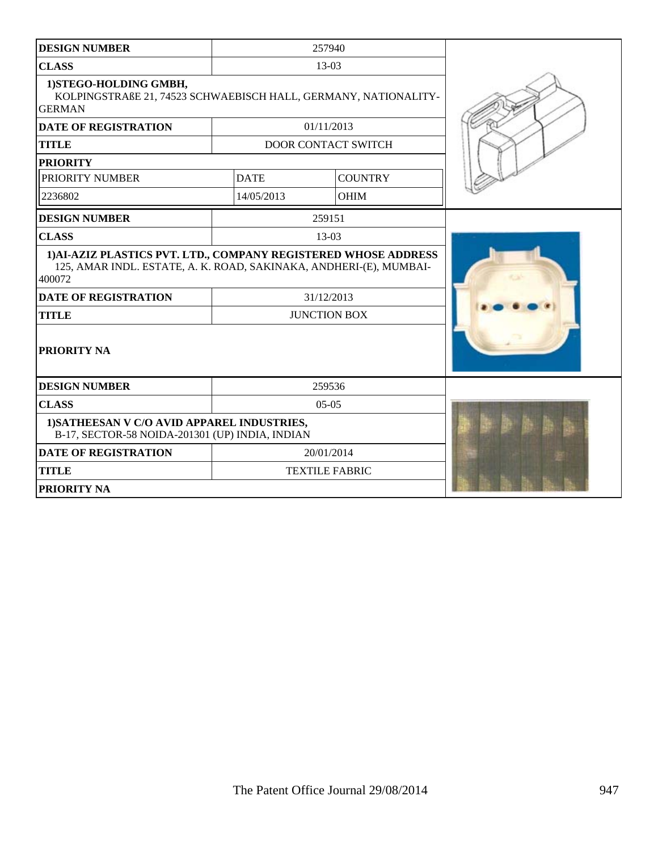| <b>DESIGN NUMBER</b>                                                                                                                            |             | 257940                     |  |
|-------------------------------------------------------------------------------------------------------------------------------------------------|-------------|----------------------------|--|
| <b>CLASS</b>                                                                                                                                    |             | 13-03                      |  |
| 1) STEGO-HOLDING GMBH,<br>KOLPINGSTRAßE 21, 74523 SCHWAEBISCH HALL, GERMANY, NATIONALITY-<br><b>GERMAN</b>                                      |             |                            |  |
| <b>DATE OF REGISTRATION</b>                                                                                                                     |             | 01/11/2013                 |  |
| <b>TITLE</b>                                                                                                                                    |             | <b>DOOR CONTACT SWITCH</b> |  |
| <b>PRIORITY</b>                                                                                                                                 |             |                            |  |
| PRIORITY NUMBER                                                                                                                                 | <b>DATE</b> | <b>COUNTRY</b>             |  |
| 2236802                                                                                                                                         | 14/05/2013  | <b>OHIM</b>                |  |
| <b>DESIGN NUMBER</b>                                                                                                                            |             | 259151                     |  |
| <b>CLASS</b>                                                                                                                                    |             | 13-03                      |  |
| 1) AI-AZIZ PLASTICS PVT. LTD., COMPANY REGISTERED WHOSE ADDRESS<br>125, AMAR INDL. ESTATE, A. K. ROAD, SAKINAKA, ANDHERI-(E), MUMBAI-<br>400072 |             |                            |  |
| <b>DATE OF REGISTRATION</b>                                                                                                                     |             | 31/12/2013                 |  |
| <b>TITLE</b>                                                                                                                                    |             | <b>JUNCTION BOX</b>        |  |
| PRIORITY NA                                                                                                                                     |             |                            |  |
| <b>DESIGN NUMBER</b>                                                                                                                            |             | 259536                     |  |
| <b>CLASS</b>                                                                                                                                    |             | $05-05$                    |  |
| 1) SATHEESAN V C/O AVID APPAREL INDUSTRIES,<br>B-17, SECTOR-58 NOIDA-201301 (UP) INDIA, INDIAN                                                  |             |                            |  |
| <b>DATE OF REGISTRATION</b>                                                                                                                     |             | 20/01/2014                 |  |
| <b>TITLE</b>                                                                                                                                    |             | <b>TEXTILE FABRIC</b>      |  |
| <b>PRIORITY NA</b>                                                                                                                              |             |                            |  |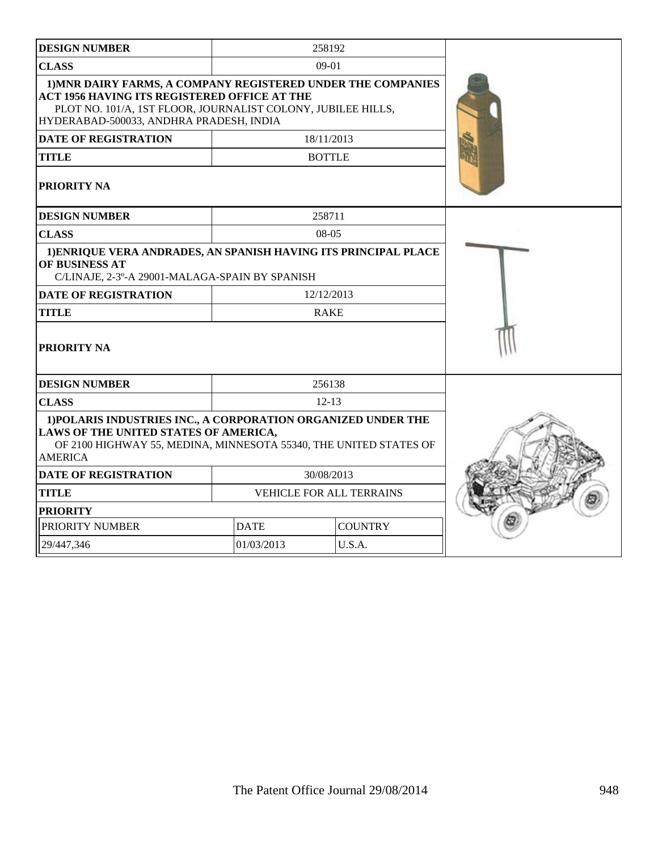| <b>DESIGN NUMBER</b>                                                                                                                                                                                                           |             | 258192                   |  |
|--------------------------------------------------------------------------------------------------------------------------------------------------------------------------------------------------------------------------------|-------------|--------------------------|--|
| <b>CLASS</b>                                                                                                                                                                                                                   |             | 09-01                    |  |
| 1) MNR DAIRY FARMS, A COMPANY REGISTERED UNDER THE COMPANIES<br><b>ACT 1956 HAVING ITS REGISTERED OFFICE AT THE</b><br>PLOT NO. 101/A, 1ST FLOOR, JOURNALIST COLONY, JUBILEE HILLS,<br>HYDERABAD-500033, ANDHRA PRADESH, INDIA |             |                          |  |
| <b>DATE OF REGISTRATION</b>                                                                                                                                                                                                    |             | 18/11/2013               |  |
| <b>TITLE</b>                                                                                                                                                                                                                   |             | <b>BOTTLE</b>            |  |
| PRIORITY NA                                                                                                                                                                                                                    |             |                          |  |
| <b>DESIGN NUMBER</b>                                                                                                                                                                                                           |             | 258711                   |  |
| <b>CLASS</b>                                                                                                                                                                                                                   |             | 08-05                    |  |
| 1) ENRIQUE VERA ANDRADES, AN SPANISH HAVING ITS PRINCIPAL PLACE<br>OF BUSINESS AT<br>C/LINAJE, 2-3°-A 29001-MALAGA-SPAIN BY SPANISH                                                                                            |             |                          |  |
| <b>DATE OF REGISTRATION</b>                                                                                                                                                                                                    |             | 12/12/2013               |  |
| <b>TITLE</b>                                                                                                                                                                                                                   |             | <b>RAKE</b>              |  |
| PRIORITY NA                                                                                                                                                                                                                    |             |                          |  |
| <b>DESIGN NUMBER</b>                                                                                                                                                                                                           |             | 256138                   |  |
| <b>CLASS</b>                                                                                                                                                                                                                   |             | $12-13$                  |  |
| 1) POLARIS INDUSTRIES INC., A CORPORATION ORGANIZED UNDER THE<br>LAWS OF THE UNITED STATES OF AMERICA,<br>OF 2100 HIGHWAY 55, MEDINA, MINNESOTA 55340, THE UNITED STATES OF<br><b>AMERICA</b>                                  |             |                          |  |
| <b>DATE OF REGISTRATION</b>                                                                                                                                                                                                    |             | 30/08/2013               |  |
| <b>TITLE</b>                                                                                                                                                                                                                   |             | VEHICLE FOR ALL TERRAINS |  |
| <b>PRIORITY</b>                                                                                                                                                                                                                |             |                          |  |
| PRIORITY NUMBER                                                                                                                                                                                                                | <b>DATE</b> | <b>COUNTRY</b>           |  |
| 29/447,346                                                                                                                                                                                                                     | 01/03/2013  | U.S.A.                   |  |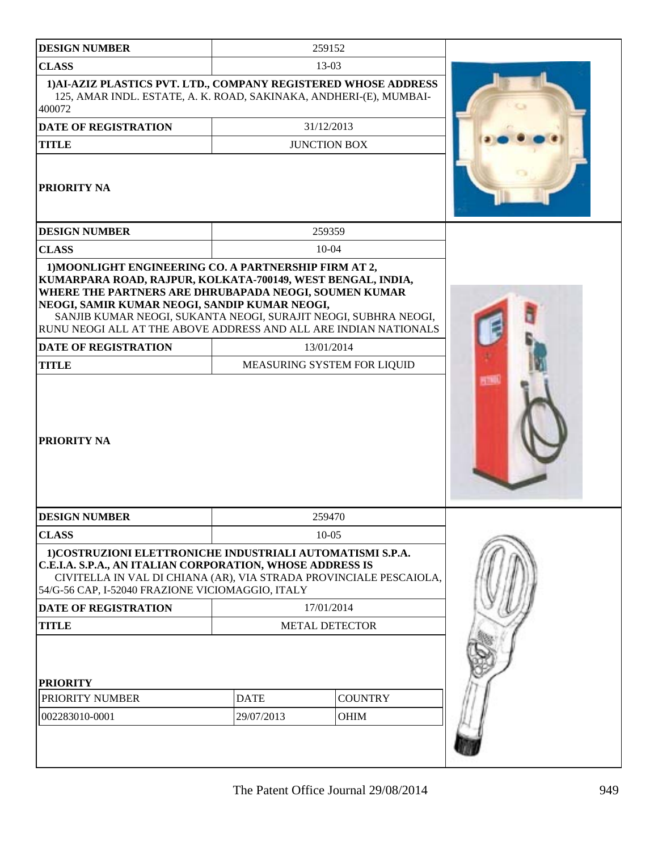| <b>DESIGN NUMBER</b>                                                                                                                                                                                                                                                                                         |             | 259152                      |  |
|--------------------------------------------------------------------------------------------------------------------------------------------------------------------------------------------------------------------------------------------------------------------------------------------------------------|-------------|-----------------------------|--|
| <b>CLASS</b>                                                                                                                                                                                                                                                                                                 |             | 13-03                       |  |
| 1) AI-AZIZ PLASTICS PVT. LTD., COMPANY REGISTERED WHOSE ADDRESS<br>125, AMAR INDL. ESTATE, A. K. ROAD, SAKINAKA, ANDHERI-(E), MUMBAI-<br>400072                                                                                                                                                              |             |                             |  |
| <b>DATE OF REGISTRATION</b>                                                                                                                                                                                                                                                                                  |             | 31/12/2013                  |  |
| <b>TITLE</b>                                                                                                                                                                                                                                                                                                 |             | <b>JUNCTION BOX</b>         |  |
| PRIORITY NA                                                                                                                                                                                                                                                                                                  |             |                             |  |
| <b>DESIGN NUMBER</b>                                                                                                                                                                                                                                                                                         |             | 259359                      |  |
| <b>CLASS</b>                                                                                                                                                                                                                                                                                                 |             | $10 - 04$                   |  |
| KUMARPARA ROAD, RAJPUR, KOLKATA-700149, WEST BENGAL, INDIA,<br>WHERE THE PARTNERS ARE DHRUBAPADA NEOGI, SOUMEN KUMAR<br>NEOGI, SAMIR KUMAR NEOGI, SANDIP KUMAR NEOGI,<br>SANJIB KUMAR NEOGI, SUKANTA NEOGI, SURAJIT NEOGI, SUBHRA NEOGI,<br>RUNU NEOGI ALL AT THE ABOVE ADDRESS AND ALL ARE INDIAN NATIONALS |             |                             |  |
| DATE OF REGISTRATION                                                                                                                                                                                                                                                                                         |             | 13/01/2014                  |  |
| <b>TITLE</b>                                                                                                                                                                                                                                                                                                 |             | MEASURING SYSTEM FOR LIQUID |  |
| PRIORITY NA                                                                                                                                                                                                                                                                                                  |             |                             |  |
| <b>DESIGN NUMBER</b>                                                                                                                                                                                                                                                                                         |             | 259470                      |  |
| <b>CLASS</b>                                                                                                                                                                                                                                                                                                 |             | $10-05$                     |  |
| 1) COSTRUZIONI ELETTRONICHE INDUSTRIALI AUTOMATISMI S.P.A.<br>C.E.I.A. S.P.A., AN ITALIAN CORPORATION, WHOSE ADDRESS IS<br>CIVITELLA IN VAL DI CHIANA (AR), VIA STRADA PROVINCIALE PESCAIOLA,<br>54/G-56 CAP, I-52040 FRAZIONE VICIOMAGGIO, ITALY                                                            |             |                             |  |
| <b>DATE OF REGISTRATION</b>                                                                                                                                                                                                                                                                                  |             | 17/01/2014                  |  |
| <b>TITLE</b>                                                                                                                                                                                                                                                                                                 |             | <b>METAL DETECTOR</b>       |  |
| <b>PRIORITY</b><br>PRIORITY NUMBER                                                                                                                                                                                                                                                                           | <b>DATE</b> | <b>COUNTRY</b>              |  |
| 002283010-0001                                                                                                                                                                                                                                                                                               | 29/07/2013  | OHIM                        |  |
|                                                                                                                                                                                                                                                                                                              |             |                             |  |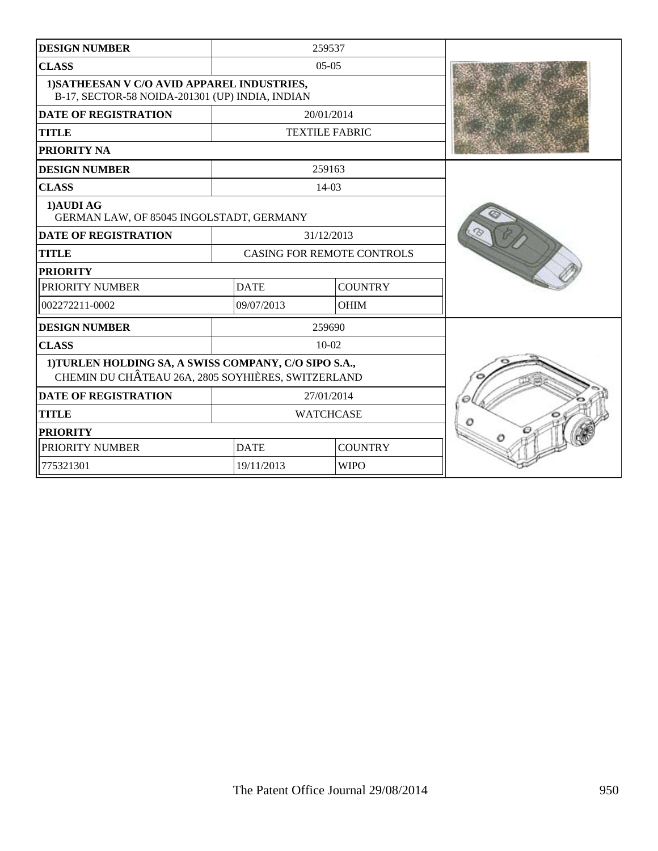| <b>DESIGN NUMBER</b>                                                                                        |             | 259537                            |  |
|-------------------------------------------------------------------------------------------------------------|-------------|-----------------------------------|--|
| <b>CLASS</b>                                                                                                |             | $05-05$                           |  |
| 1) SATHEESAN V C/O AVID APPAREL INDUSTRIES,<br>B-17, SECTOR-58 NOIDA-201301 (UP) INDIA, INDIAN              |             |                                   |  |
| <b>DATE OF REGISTRATION</b>                                                                                 |             | 20/01/2014                        |  |
| <b>TITLE</b>                                                                                                |             | <b>TEXTILE FABRIC</b>             |  |
| PRIORITY NA                                                                                                 |             |                                   |  |
| <b>DESIGN NUMBER</b>                                                                                        |             | 259163                            |  |
| <b>CLASS</b>                                                                                                |             | 14-03                             |  |
| 1) AUDI AG<br>GERMAN LAW, OF 85045 INGOLSTADT, GERMANY                                                      |             |                                   |  |
| <b>DATE OF REGISTRATION</b>                                                                                 |             | 31/12/2013                        |  |
| <b>TITLE</b>                                                                                                |             | <b>CASING FOR REMOTE CONTROLS</b> |  |
| <b>PRIORITY</b>                                                                                             |             |                                   |  |
| PRIORITY NUMBER                                                                                             | <b>DATE</b> | <b>COUNTRY</b>                    |  |
| 002272211-0002                                                                                              | 09/07/2013  | <b>OHIM</b>                       |  |
| <b>DESIGN NUMBER</b>                                                                                        |             | 259690                            |  |
| <b>CLASS</b>                                                                                                |             | $10-02$                           |  |
| 1) TURLEN HOLDING SA, A SWISS COMPANY, C/O SIPO S.A.,<br>CHEMIN DU CHÂTEAU 26A, 2805 SOYHIÈRES, SWITZERLAND |             |                                   |  |
| <b>DATE OF REGISTRATION</b>                                                                                 |             | 27/01/2014                        |  |
| <b>TITLE</b>                                                                                                |             | <b>WATCHCASE</b>                  |  |
| <b>PRIORITY</b>                                                                                             |             |                                   |  |
| PRIORITY NUMBER                                                                                             | <b>DATE</b> | <b>COUNTRY</b>                    |  |
| 775321301                                                                                                   | 19/11/2013  | <b>WIPO</b>                       |  |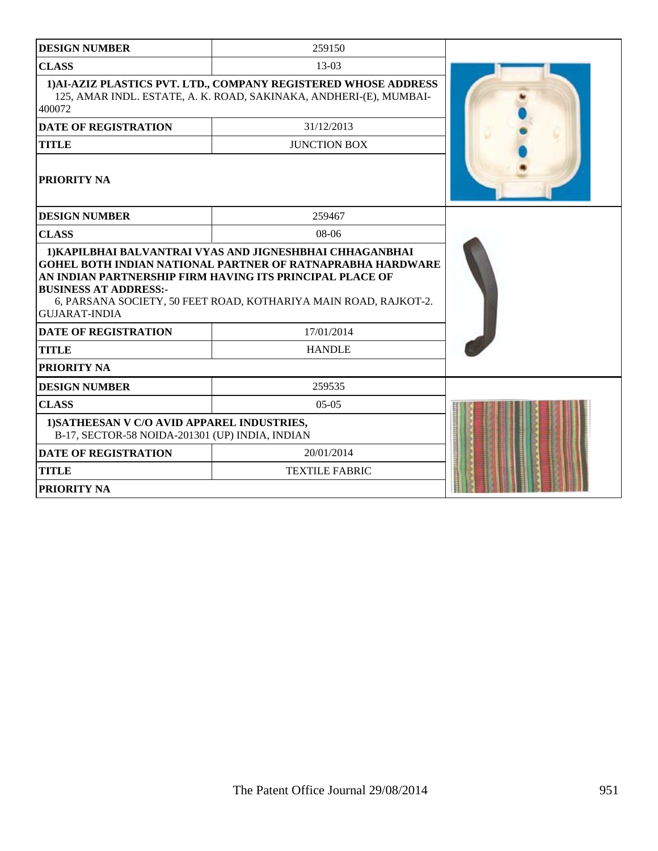| <b>DESIGN NUMBER</b>                                                                                                                                                                                                                                      | 259150                |  |  |  |  |  |
|-----------------------------------------------------------------------------------------------------------------------------------------------------------------------------------------------------------------------------------------------------------|-----------------------|--|--|--|--|--|
| <b>CLASS</b>                                                                                                                                                                                                                                              | 13-03                 |  |  |  |  |  |
| 1) AI-AZIZ PLASTICS PVT. LTD., COMPANY REGISTERED WHOSE ADDRESS<br>125, AMAR INDL. ESTATE, A. K. ROAD, SAKINAKA, ANDHERI-(E), MUMBAI-<br>400072                                                                                                           |                       |  |  |  |  |  |
| <b>DATE OF REGISTRATION</b>                                                                                                                                                                                                                               | 31/12/2013            |  |  |  |  |  |
| <b>TITLE</b>                                                                                                                                                                                                                                              | <b>JUNCTION BOX</b>   |  |  |  |  |  |
| PRIORITY NA                                                                                                                                                                                                                                               |                       |  |  |  |  |  |
| <b>DESIGN NUMBER</b>                                                                                                                                                                                                                                      | 259467                |  |  |  |  |  |
| <b>CLASS</b>                                                                                                                                                                                                                                              | 08-06                 |  |  |  |  |  |
| <b>GOHEL BOTH INDIAN NATIONAL PARTNER OF RATNAPRABHA HARDWARE</b><br>AN INDIAN PARTNERSHIP FIRM HAVING ITS PRINCIPAL PLACE OF<br><b>BUSINESS AT ADDRESS:-</b><br>6, PARSANA SOCIETY, 50 FEET ROAD, KOTHARIYA MAIN ROAD, RAJKOT-2.<br><b>GUJARAT-INDIA</b> |                       |  |  |  |  |  |
| <b>DATE OF REGISTRATION</b>                                                                                                                                                                                                                               | 17/01/2014            |  |  |  |  |  |
| <b>TITLE</b>                                                                                                                                                                                                                                              | <b>HANDLE</b>         |  |  |  |  |  |
| PRIORITY NA                                                                                                                                                                                                                                               |                       |  |  |  |  |  |
| <b>DESIGN NUMBER</b>                                                                                                                                                                                                                                      | 259535                |  |  |  |  |  |
| <b>CLASS</b>                                                                                                                                                                                                                                              | $05-05$               |  |  |  |  |  |
| 1) SATHEESAN V C/O AVID APPAREL INDUSTRIES,<br>B-17, SECTOR-58 NOIDA-201301 (UP) INDIA, INDIAN                                                                                                                                                            |                       |  |  |  |  |  |
| <b>DATE OF REGISTRATION</b>                                                                                                                                                                                                                               | 20/01/2014            |  |  |  |  |  |
| <b>TITLE</b>                                                                                                                                                                                                                                              | <b>TEXTILE FABRIC</b> |  |  |  |  |  |
| PRIORITY NA                                                                                                                                                                                                                                               |                       |  |  |  |  |  |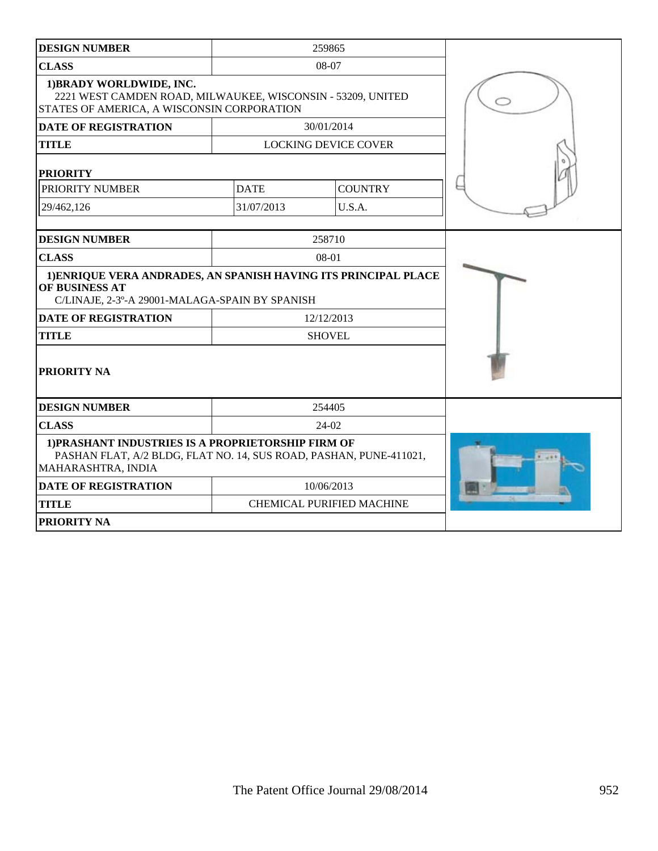| <b>DESIGN NUMBER</b>                                                                                                                           |             | 259865                           |  |
|------------------------------------------------------------------------------------------------------------------------------------------------|-------------|----------------------------------|--|
| <b>CLASS</b>                                                                                                                                   |             | 08-07                            |  |
| 1) BRADY WORLDWIDE, INC.<br>2221 WEST CAMDEN ROAD, MILWAUKEE, WISCONSIN - 53209, UNITED<br>STATES OF AMERICA, A WISCONSIN CORPORATION          |             |                                  |  |
| <b>DATE OF REGISTRATION</b>                                                                                                                    |             | 30/01/2014                       |  |
| <b>TITLE</b>                                                                                                                                   |             | <b>LOCKING DEVICE COVER</b>      |  |
| <b>PRIORITY</b>                                                                                                                                |             |                                  |  |
| PRIORITY NUMBER                                                                                                                                | <b>DATE</b> | <b>COUNTRY</b>                   |  |
| 29/462,126                                                                                                                                     | 31/07/2013  | U.S.A.                           |  |
| <b>DESIGN NUMBER</b>                                                                                                                           |             | 258710                           |  |
| <b>CLASS</b>                                                                                                                                   |             | 08-01                            |  |
| 1) ENRIQUE VERA ANDRADES, AN SPANISH HAVING ITS PRINCIPAL PLACE<br>OF BUSINESS AT<br>C/LINAJE, 2-3°-A 29001-MALAGA-SPAIN BY SPANISH            |             |                                  |  |
| <b>DATE OF REGISTRATION</b>                                                                                                                    |             | 12/12/2013                       |  |
| <b>TITLE</b>                                                                                                                                   |             | <b>SHOVEL</b>                    |  |
| PRIORITY NA                                                                                                                                    |             |                                  |  |
| <b>DESIGN NUMBER</b>                                                                                                                           |             | 254405                           |  |
| <b>CLASS</b>                                                                                                                                   |             | 24-02                            |  |
| 1) PRASHANT INDUSTRIES IS A PROPRIETORSHIP FIRM OF<br>PASHAN FLAT, A/2 BLDG, FLAT NO. 14, SUS ROAD, PASHAN, PUNE-411021,<br>MAHARASHTRA, INDIA |             |                                  |  |
| <b>DATE OF REGISTRATION</b>                                                                                                                    |             | 10/06/2013                       |  |
| <b>TITLE</b>                                                                                                                                   |             | <b>CHEMICAL PURIFIED MACHINE</b> |  |
| PRIORITY NA                                                                                                                                    |             |                                  |  |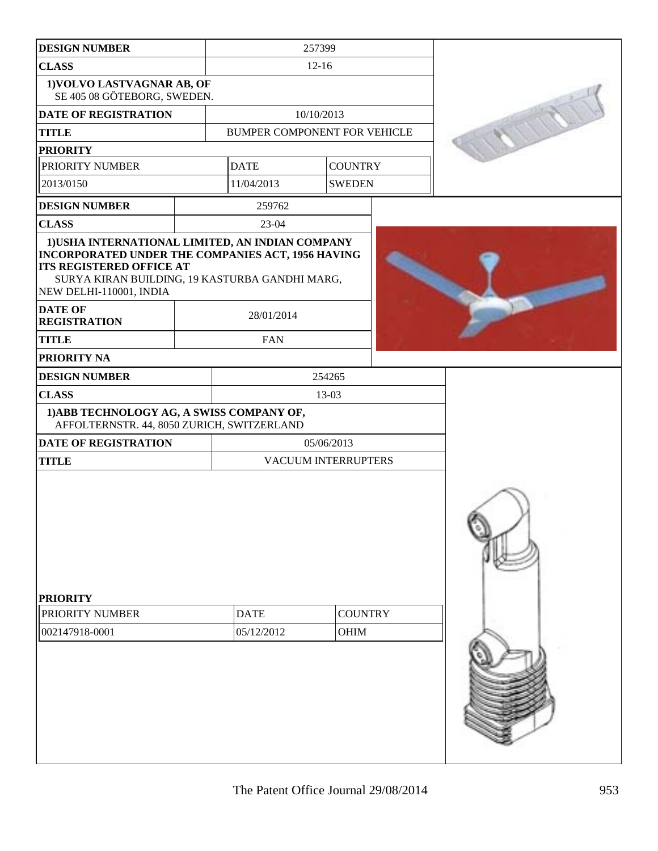| <b>DESIGN NUMBER</b>                                                                                                                                                                                                  |  | 257399                        |                     |  |  |
|-----------------------------------------------------------------------------------------------------------------------------------------------------------------------------------------------------------------------|--|-------------------------------|---------------------|--|--|
| <b>CLASS</b>                                                                                                                                                                                                          |  | $12 - 16$                     |                     |  |  |
| 1) VOLVO LASTVAGNAR AB, OF<br>SE 405 08 GÖTEBORG, SWEDEN.                                                                                                                                                             |  |                               |                     |  |  |
| DATE OF REGISTRATION<br>10/10/2013                                                                                                                                                                                    |  |                               |                     |  |  |
| <b>TITLE</b>                                                                                                                                                                                                          |  | BUMPER COMPONENT FOR VEHICLE  |                     |  |  |
| <b>PRIORITY</b>                                                                                                                                                                                                       |  |                               |                     |  |  |
| PRIORITY NUMBER                                                                                                                                                                                                       |  | <b>DATE</b>                   | <b>COUNTRY</b>      |  |  |
| 2013/0150                                                                                                                                                                                                             |  | 11/04/2013                    | <b>SWEDEN</b>       |  |  |
| <b>DESIGN NUMBER</b>                                                                                                                                                                                                  |  | 259762                        |                     |  |  |
| <b>CLASS</b>                                                                                                                                                                                                          |  | 23-04                         |                     |  |  |
| 1) USHA INTERNATIONAL LIMITED, AN INDIAN COMPANY<br>INCORPORATED UNDER THE COMPANIES ACT, 1956 HAVING<br><b>ITS REGISTERED OFFICE AT</b><br>SURYA KIRAN BUILDING, 19 KASTURBA GANDHI MARG,<br>NEW DELHI-110001, INDIA |  |                               |                     |  |  |
| <b>DATE OF</b><br><b>REGISTRATION</b>                                                                                                                                                                                 |  | 28/01/2014                    |                     |  |  |
| <b>TITLE</b>                                                                                                                                                                                                          |  | <b>FAN</b>                    |                     |  |  |
| PRIORITY NA                                                                                                                                                                                                           |  |                               |                     |  |  |
| <b>DESIGN NUMBER</b>                                                                                                                                                                                                  |  |                               | 254265              |  |  |
| <b>CLASS</b>                                                                                                                                                                                                          |  |                               | 13-03               |  |  |
| 1) ABB TECHNOLOGY AG, A SWISS COMPANY OF,<br>AFFOLTERNSTR. 44, 8050 ZURICH, SWITZERLAND                                                                                                                               |  |                               |                     |  |  |
| DATE OF REGISTRATION                                                                                                                                                                                                  |  |                               | 05/06/2013          |  |  |
| <b>TITLE</b>                                                                                                                                                                                                          |  |                               | VACUUM INTERRUPTERS |  |  |
| <b>PRIORITY</b>                                                                                                                                                                                                       |  |                               |                     |  |  |
| PRIORITY NUMBER                                                                                                                                                                                                       |  | <b>DATE</b><br><b>COUNTRY</b> |                     |  |  |
| 002147918-0001                                                                                                                                                                                                        |  | 05/12/2012<br><b>OHIM</b>     |                     |  |  |
|                                                                                                                                                                                                                       |  |                               |                     |  |  |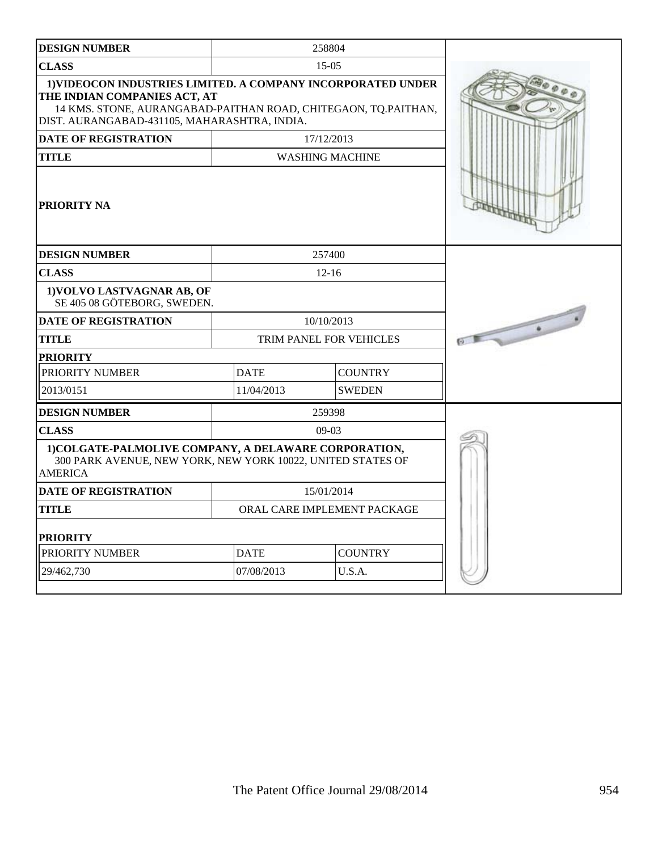| <b>DESIGN NUMBER</b>                                                                                                                                                                                                 |             | 258804                         |  |
|----------------------------------------------------------------------------------------------------------------------------------------------------------------------------------------------------------------------|-------------|--------------------------------|--|
| <b>CLASS</b>                                                                                                                                                                                                         |             | $15-05$                        |  |
| <b>1)VIDEOCON INDUSTRIES LIMITED. A COMPANY INCORPORATED UNDER</b><br>THE INDIAN COMPANIES ACT, AT<br>14 KMS. STONE, AURANGABAD-PAITHAN ROAD, CHITEGAON, TQ.PAITHAN,<br>DIST. AURANGABAD-431105, MAHARASHTRA, INDIA. |             |                                |  |
| <b>DATE OF REGISTRATION</b>                                                                                                                                                                                          |             | 17/12/2013                     |  |
| <b>TITLE</b>                                                                                                                                                                                                         |             | <b>WASHING MACHINE</b>         |  |
| <b>PRIORITY NA</b>                                                                                                                                                                                                   |             |                                |  |
| <b>DESIGN NUMBER</b>                                                                                                                                                                                                 |             | 257400                         |  |
| <b>CLASS</b>                                                                                                                                                                                                         |             | $12 - 16$                      |  |
| 1) VOLVO LASTVAGNAR AB, OF<br>SE 405 08 GÖTEBORG, SWEDEN.                                                                                                                                                            |             |                                |  |
| <b>DATE OF REGISTRATION</b>                                                                                                                                                                                          |             | 10/10/2013                     |  |
| <b>TITLE</b>                                                                                                                                                                                                         |             | <b>TRIM PANEL FOR VEHICLES</b> |  |
| <b>PRIORITY</b>                                                                                                                                                                                                      |             |                                |  |
| PRIORITY NUMBER                                                                                                                                                                                                      | <b>DATE</b> | <b>COUNTRY</b>                 |  |
| 2013/0151                                                                                                                                                                                                            | 11/04/2013  | <b>SWEDEN</b>                  |  |
| <b>DESIGN NUMBER</b>                                                                                                                                                                                                 |             | 259398                         |  |
| <b>CLASS</b>                                                                                                                                                                                                         |             | $09-03$                        |  |
| 1) COLGATE-PALMOLIVE COMPANY, A DELAWARE CORPORATION,<br>300 PARK AVENUE, NEW YORK, NEW YORK 10022, UNITED STATES OF<br><b>AMERICA</b>                                                                               |             |                                |  |
| <b>DATE OF REGISTRATION</b>                                                                                                                                                                                          |             | 15/01/2014                     |  |
| <b>TITLE</b>                                                                                                                                                                                                         |             | ORAL CARE IMPLEMENT PACKAGE    |  |
| <b>PRIORITY</b>                                                                                                                                                                                                      |             |                                |  |
| PRIORITY NUMBER                                                                                                                                                                                                      | <b>DATE</b> | <b>COUNTRY</b>                 |  |
| 29/462,730                                                                                                                                                                                                           | 07/08/2013  | U.S.A.                         |  |
|                                                                                                                                                                                                                      |             |                                |  |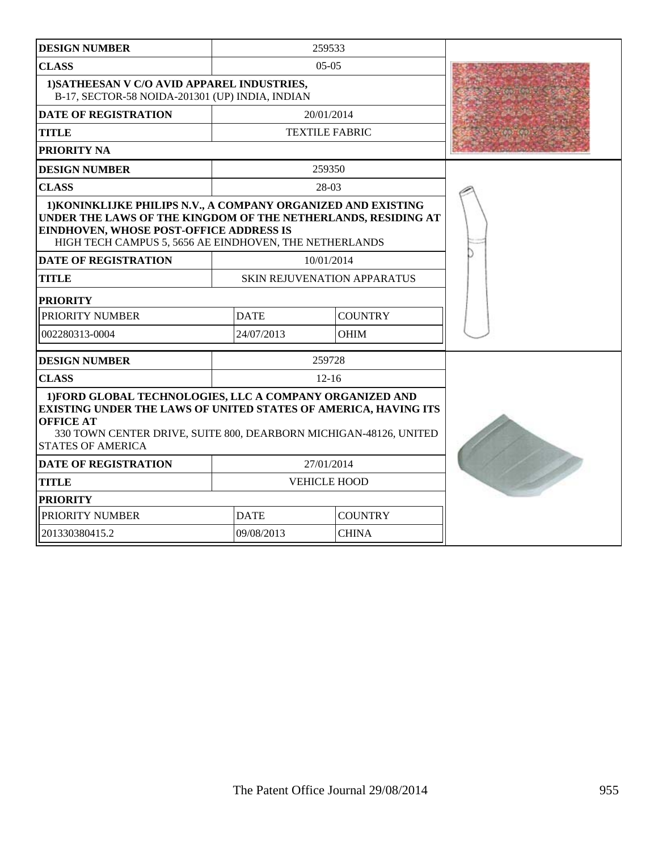| <b>DESIGN NUMBER</b>                                                                                                                                                                                                                             |             | 259533                             |  |
|--------------------------------------------------------------------------------------------------------------------------------------------------------------------------------------------------------------------------------------------------|-------------|------------------------------------|--|
| <b>CLASS</b>                                                                                                                                                                                                                                     |             | $05-05$                            |  |
| 1) SATHEESAN V C/O AVID APPAREL INDUSTRIES,<br>B-17, SECTOR-58 NOIDA-201301 (UP) INDIA, INDIAN                                                                                                                                                   |             |                                    |  |
| <b>DATE OF REGISTRATION</b>                                                                                                                                                                                                                      |             | 20/01/2014                         |  |
| <b>TITLE</b>                                                                                                                                                                                                                                     |             | <b>TEXTILE FABRIC</b>              |  |
| <b>PRIORITY NA</b>                                                                                                                                                                                                                               |             |                                    |  |
| <b>DESIGN NUMBER</b>                                                                                                                                                                                                                             |             | 259350                             |  |
| <b>CLASS</b>                                                                                                                                                                                                                                     |             | 28-03                              |  |
| 1) KONINKLIJKE PHILIPS N.V., A COMPANY ORGANIZED AND EXISTING<br>UNDER THE LAWS OF THE KINGDOM OF THE NETHERLANDS, RESIDING AT<br>EINDHOVEN, WHOSE POST-OFFICE ADDRESS IS<br>HIGH TECH CAMPUS 5, 5656 AE EINDHOVEN, THE NETHERLANDS              |             |                                    |  |
| <b>DATE OF REGISTRATION</b>                                                                                                                                                                                                                      |             | 10/01/2014                         |  |
| <b>TITLE</b>                                                                                                                                                                                                                                     |             | <b>SKIN REJUVENATION APPARATUS</b> |  |
| <b>PRIORITY</b>                                                                                                                                                                                                                                  |             |                                    |  |
| PRIORITY NUMBER                                                                                                                                                                                                                                  | <b>DATE</b> | <b>COUNTRY</b>                     |  |
| 002280313-0004                                                                                                                                                                                                                                   | 24/07/2013  | <b>OHIM</b>                        |  |
| <b>DESIGN NUMBER</b>                                                                                                                                                                                                                             |             | 259728                             |  |
| <b>CLASS</b>                                                                                                                                                                                                                                     |             | $12 - 16$                          |  |
| 1) FORD GLOBAL TECHNOLOGIES, LLC A COMPANY ORGANIZED AND<br>EXISTING UNDER THE LAWS OF UNITED STATES OF AMERICA, HAVING ITS<br><b>OFFICE AT</b><br>330 TOWN CENTER DRIVE, SUITE 800, DEARBORN MICHIGAN-48126, UNITED<br><b>STATES OF AMERICA</b> |             |                                    |  |
| <b>DATE OF REGISTRATION</b>                                                                                                                                                                                                                      |             | 27/01/2014                         |  |
| <b>TITLE</b>                                                                                                                                                                                                                                     |             | <b>VEHICLE HOOD</b>                |  |
| <b>PRIORITY</b>                                                                                                                                                                                                                                  |             |                                    |  |
| PRIORITY NUMBER                                                                                                                                                                                                                                  | <b>DATE</b> | <b>COUNTRY</b>                     |  |
| 201330380415.2                                                                                                                                                                                                                                   | 09/08/2013  | <b>CHINA</b>                       |  |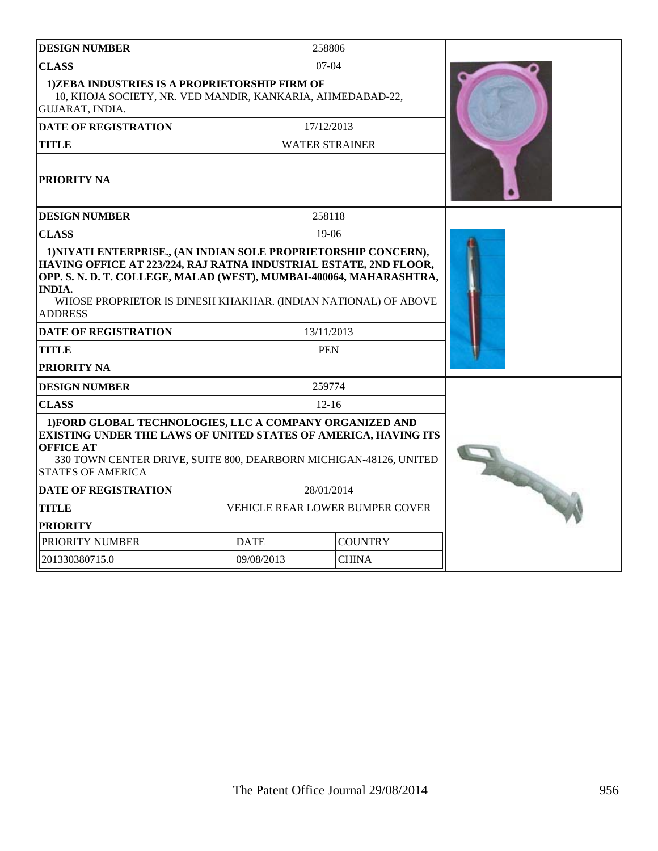| <b>DESIGN NUMBER</b>                                                                                                                                                                                                                             |                                 |                       | 258806       |                |  |
|--------------------------------------------------------------------------------------------------------------------------------------------------------------------------------------------------------------------------------------------------|---------------------------------|-----------------------|--------------|----------------|--|
| <b>CLASS</b>                                                                                                                                                                                                                                     |                                 |                       | $07-04$      |                |  |
| <b>1)ZEBA INDUSTRIES IS A PROPRIETORSHIP FIRM OF</b><br>10, KHOJA SOCIETY, NR. VED MANDIR, KANKARIA, AHMEDABAD-22,<br>GUJARAT, INDIA.                                                                                                            |                                 |                       |              |                |  |
| <b>DATE OF REGISTRATION</b>                                                                                                                                                                                                                      |                                 |                       | 17/12/2013   |                |  |
| <b>TITLE</b>                                                                                                                                                                                                                                     |                                 | <b>WATER STRAINER</b> |              |                |  |
| PRIORITY NA                                                                                                                                                                                                                                      |                                 |                       |              |                |  |
| <b>DESIGN NUMBER</b>                                                                                                                                                                                                                             |                                 |                       | 258118       |                |  |
| <b>CLASS</b>                                                                                                                                                                                                                                     |                                 |                       | 19-06        |                |  |
| HAVING OFFICE AT 223/224, RAJ RATNA INDUSTRIAL ESTATE, 2ND FLOOR,<br>OPP. S. N. D. T. COLLEGE, MALAD (WEST), MUMBAI-400064, MAHARASHTRA,<br><b>INDIA.</b><br>WHOSE PROPRIETOR IS DINESH KHAKHAR. (INDIAN NATIONAL) OF ABOVE<br><b>ADDRESS</b>    |                                 |                       |              |                |  |
| <b>DATE OF REGISTRATION</b>                                                                                                                                                                                                                      |                                 |                       | 13/11/2013   |                |  |
| <b>TITLE</b>                                                                                                                                                                                                                                     |                                 |                       | <b>PEN</b>   |                |  |
| <b>PRIORITY NA</b>                                                                                                                                                                                                                               |                                 |                       |              |                |  |
| <b>DESIGN NUMBER</b>                                                                                                                                                                                                                             |                                 |                       | 259774       |                |  |
| <b>CLASS</b>                                                                                                                                                                                                                                     |                                 |                       | $12 - 16$    |                |  |
| 1) FORD GLOBAL TECHNOLOGIES, LLC A COMPANY ORGANIZED AND<br>EXISTING UNDER THE LAWS OF UNITED STATES OF AMERICA, HAVING ITS<br><b>OFFICE AT</b><br>330 TOWN CENTER DRIVE, SUITE 800, DEARBORN MICHIGAN-48126, UNITED<br><b>STATES OF AMERICA</b> | 2000                            |                       |              |                |  |
| DATE OF REGISTRATION                                                                                                                                                                                                                             |                                 | 28/01/2014            |              |                |  |
| <b>TITLE</b>                                                                                                                                                                                                                                     | VEHICLE REAR LOWER BUMPER COVER |                       |              |                |  |
| <b>PRIORITY</b>                                                                                                                                                                                                                                  |                                 |                       |              |                |  |
| PRIORITY NUMBER                                                                                                                                                                                                                                  |                                 | <b>DATE</b>           |              | <b>COUNTRY</b> |  |
| 201330380715.0                                                                                                                                                                                                                                   |                                 | 09/08/2013            | <b>CHINA</b> |                |  |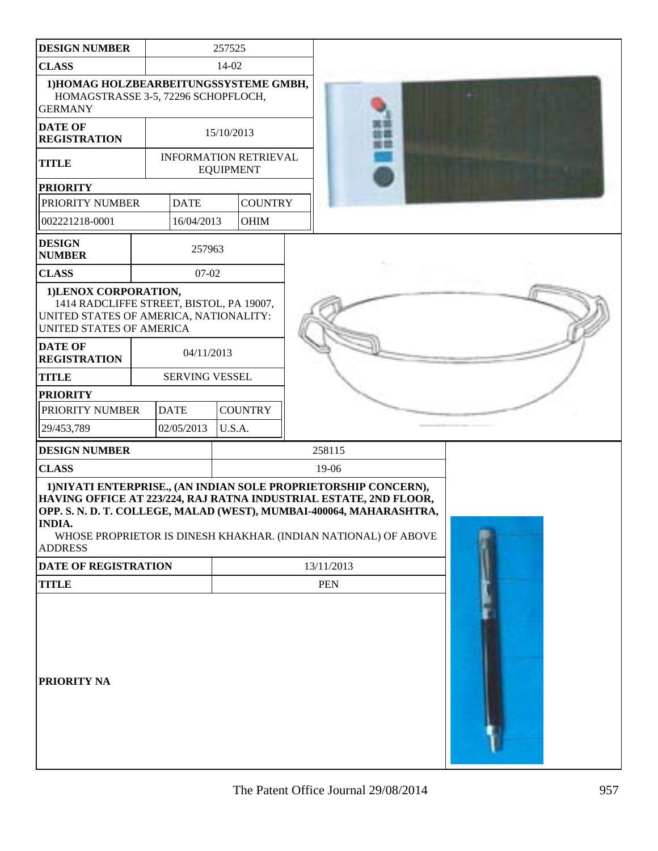| <b>DESIGN NUMBER</b>                                                                                                                                                                                                                                                                                             |             | 257525                |                              |  |            |  |  |  |  |  |
|------------------------------------------------------------------------------------------------------------------------------------------------------------------------------------------------------------------------------------------------------------------------------------------------------------------|-------------|-----------------------|------------------------------|--|------------|--|--|--|--|--|
| <b>CLASS</b>                                                                                                                                                                                                                                                                                                     |             | 14-02                 |                              |  |            |  |  |  |  |  |
| 1) HOMAG HOLZBEARBEITUNGSSYSTEME GMBH,<br>HOMAGSTRASSE 3-5, 72296 SCHOPFLOCH,<br><b>GERMANY</b>                                                                                                                                                                                                                  |             |                       |                              |  |            |  |  |  |  |  |
| <b>DATE OF</b><br><b>REGISTRATION</b>                                                                                                                                                                                                                                                                            |             | 15/10/2013            |                              |  |            |  |  |  |  |  |
| <b>TITLE</b>                                                                                                                                                                                                                                                                                                     |             | <b>EQUIPMENT</b>      | <b>INFORMATION RETRIEVAL</b> |  |            |  |  |  |  |  |
| <b>PRIORITY</b>                                                                                                                                                                                                                                                                                                  |             |                       |                              |  |            |  |  |  |  |  |
| PRIORITY NUMBER                                                                                                                                                                                                                                                                                                  | <b>DATE</b> |                       | <b>COUNTRY</b>               |  |            |  |  |  |  |  |
| 002221218-0001                                                                                                                                                                                                                                                                                                   | 16/04/2013  |                       | <b>OHIM</b>                  |  |            |  |  |  |  |  |
| <b>DESIGN</b><br><b>NUMBER</b>                                                                                                                                                                                                                                                                                   | 257963      |                       |                              |  |            |  |  |  |  |  |
| <b>CLASS</b>                                                                                                                                                                                                                                                                                                     | $07 - 02$   |                       |                              |  |            |  |  |  |  |  |
| 1)LENOX CORPORATION,<br>1414 RADCLIFFE STREET, BISTOL, PA 19007,<br>UNITED STATES OF AMERICA, NATIONALITY:<br>UNITED STATES OF AMERICA                                                                                                                                                                           |             |                       |                              |  |            |  |  |  |  |  |
| <b>DATE OF</b><br><b>REGISTRATION</b>                                                                                                                                                                                                                                                                            | 04/11/2013  |                       |                              |  |            |  |  |  |  |  |
| <b>TITLE</b>                                                                                                                                                                                                                                                                                                     |             | <b>SERVING VESSEL</b> |                              |  |            |  |  |  |  |  |
| <b>PRIORITY</b>                                                                                                                                                                                                                                                                                                  |             |                       |                              |  |            |  |  |  |  |  |
| PRIORITY NUMBER                                                                                                                                                                                                                                                                                                  | <b>DATE</b> |                       | <b>COUNTRY</b>               |  |            |  |  |  |  |  |
| 29/453,789                                                                                                                                                                                                                                                                                                       | 02/05/2013  | U.S.A.                |                              |  |            |  |  |  |  |  |
| <b>DESIGN NUMBER</b>                                                                                                                                                                                                                                                                                             |             |                       |                              |  | 258115     |  |  |  |  |  |
| <b>CLASS</b>                                                                                                                                                                                                                                                                                                     |             |                       |                              |  | 19-06      |  |  |  |  |  |
| 1) NIYATI ENTERPRISE., (AN INDIAN SOLE PROPRIETORSHIP CONCERN),<br>HAVING OFFICE AT 223/224, RAJ RATNA INDUSTRIAL ESTATE, 2ND FLOOR,<br>OPP. S. N. D. T. COLLEGE, MALAD (WEST), MUMBAI-400064, MAHARASHTRA,<br><b>INDIA.</b><br>WHOSE PROPRIETOR IS DINESH KHAKHAR. (INDIAN NATIONAL) OF ABOVE<br><b>ADDRESS</b> |             |                       |                              |  |            |  |  |  |  |  |
| <b>DATE OF REGISTRATION</b>                                                                                                                                                                                                                                                                                      |             |                       |                              |  | 13/11/2013 |  |  |  |  |  |
| <b>TITLE</b>                                                                                                                                                                                                                                                                                                     |             |                       |                              |  | <b>PEN</b> |  |  |  |  |  |
| PRIORITY NA                                                                                                                                                                                                                                                                                                      |             |                       |                              |  |            |  |  |  |  |  |